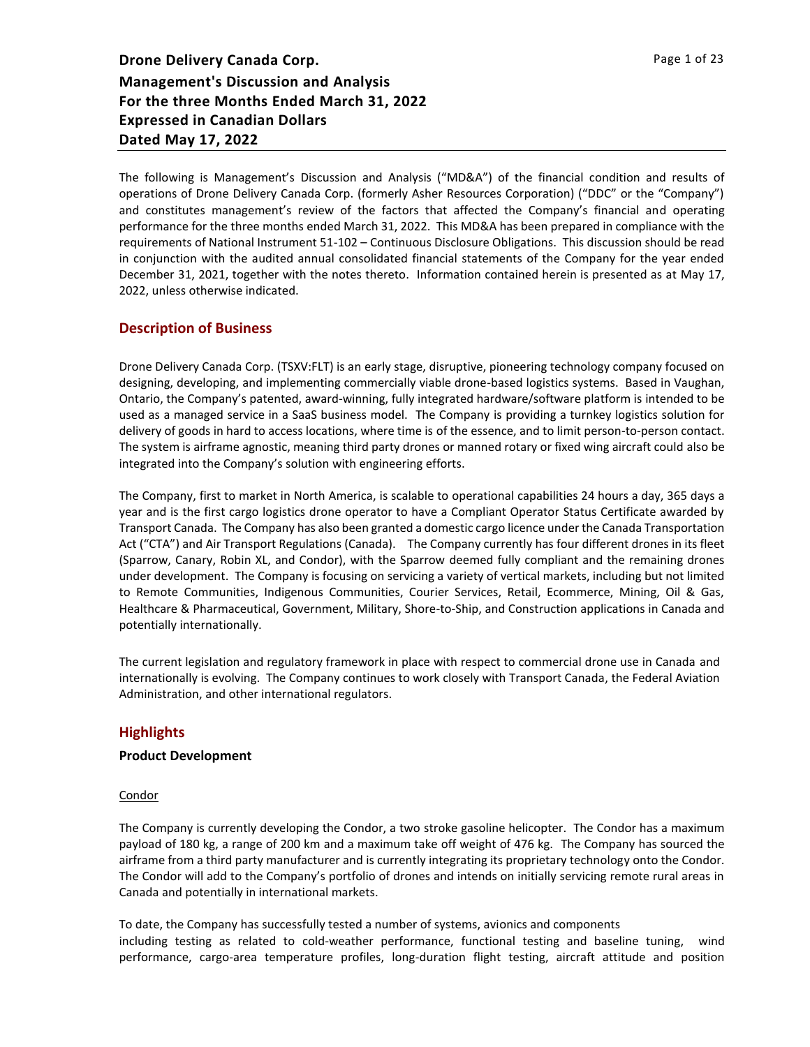The following is Management's Discussion and Analysis ("MD&A") of the financial condition and results of operations of Drone Delivery Canada Corp. (formerly Asher Resources Corporation) ("DDC" or the "Company") and constitutes management's review of the factors that affected the Company's financial and operating performance for the three months ended March 31, 2022. This MD&A has been prepared in compliance with the requirements of National Instrument 51-102 – Continuous Disclosure Obligations. This discussion should be read in conjunction with the audited annual consolidated financial statements of the Company for the year ended December 31, 2021, together with the notes thereto. Information contained herein is presented as at May 17, 2022, unless otherwise indicated.

# **Description of Business**

Drone Delivery Canada Corp. (TSXV:FLT) is an early stage, disruptive, pioneering technology company focused on designing, developing, and implementing commercially viable drone-based logistics systems. Based in Vaughan, Ontario, the Company's patented, award-winning, fully integrated hardware/software platform is intended to be used as a managed service in a SaaS business model. The Company is providing a turnkey logistics solution for delivery of goods in hard to access locations, where time is of the essence, and to limit person-to-person contact. The system is airframe agnostic, meaning third party drones or manned rotary or fixed wing aircraft could also be integrated into the Company's solution with engineering efforts.

The Company, first to market in North America, is scalable to operational capabilities 24 hours a day, 365 days a year and is the first cargo logistics drone operator to have a Compliant Operator Status Certificate awarded by Transport Canada. The Company has also been granted a domestic cargo licence under the Canada Transportation Act ("CTA") and Air Transport Regulations (Canada). The Company currently has four different drones in its fleet (Sparrow, Canary, Robin XL, and Condor), with the Sparrow deemed fully compliant and the remaining drones under development. The Company is focusing on servicing a variety of vertical markets, including but not limited to Remote Communities, Indigenous Communities, Courier Services, Retail, Ecommerce, Mining, Oil & Gas, Healthcare & Pharmaceutical, Government, Military, Shore-to-Ship, and Construction applications in Canada and potentially internationally.

The current legislation and regulatory framework in place with respect to commercial drone use in Canada and internationally is evolving. The Company continues to work closely with Transport Canada, the Federal Aviation Administration, and other international regulators.

# **Highlights**

## **Product Development**

#### Condor

The Company is currently developing the Condor, a two stroke gasoline helicopter. The Condor has a maximum payload of 180 kg, a range of 200 km and a maximum take off weight of 476 kg. The Company has sourced the airframe from a third party manufacturer and is currently integrating its proprietary technology onto the Condor. The Condor will add to the Company's portfolio of drones and intends on initially servicing remote rural areas in Canada and potentially in international markets.

To date, the Company has successfully tested a number of systems, avionics and components including testing as related to cold-weather performance, functional testing and baseline tuning, wind performance, cargo-area temperature profiles, long-duration flight testing, aircraft attitude and position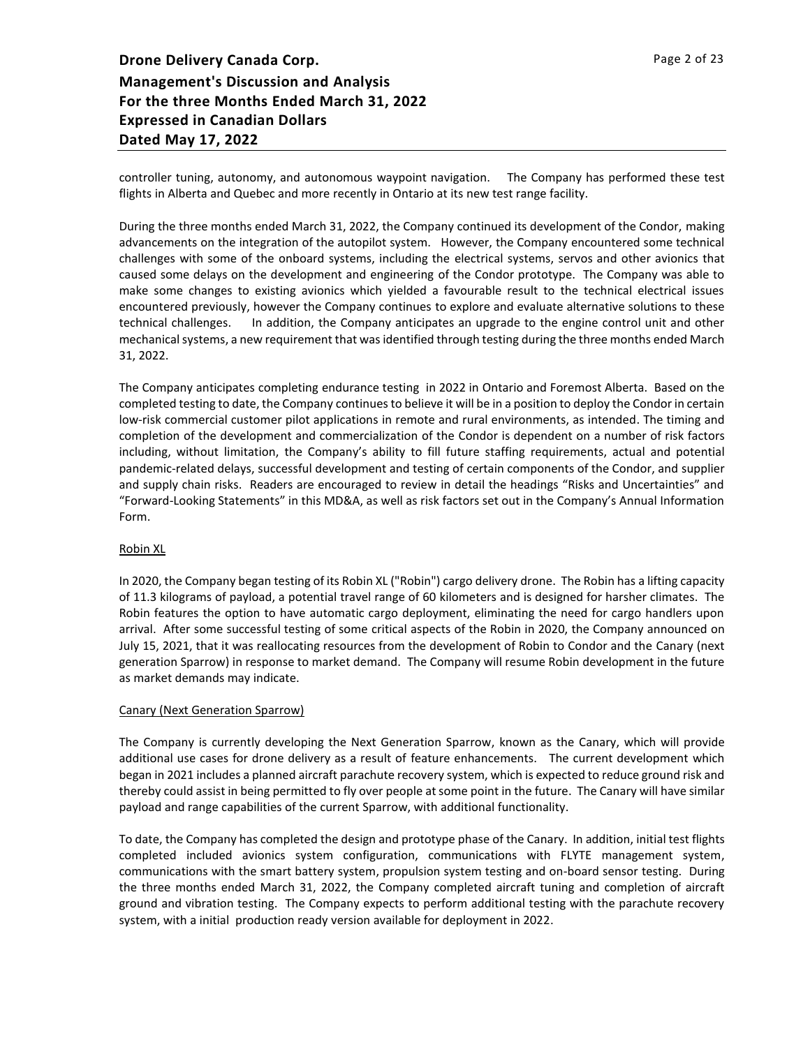controller tuning, autonomy, and autonomous waypoint navigation. The Company has performed these test flights in Alberta and Quebec and more recently in Ontario at its new test range facility.

During the three months ended March 31, 2022, the Company continued its development of the Condor, making advancements on the integration of the autopilot system. However, the Company encountered some technical challenges with some of the onboard systems, including the electrical systems, servos and other avionics that caused some delays on the development and engineering of the Condor prototype. The Company was able to make some changes to existing avionics which yielded a favourable result to the technical electrical issues encountered previously, however the Company continues to explore and evaluate alternative solutions to these technical challenges. In addition, the Company anticipates an upgrade to the engine control unit and other mechanical systems, a new requirement that was identified through testing during the three months ended March 31, 2022.

The Company anticipates completing endurance testing in 2022 in Ontario and Foremost Alberta. Based on the completed testing to date, the Company continues to believe it will be in a position to deploy the Condor in certain low-risk commercial customer pilot applications in remote and rural environments, as intended. The timing and completion of the development and commercialization of the Condor is dependent on a number of risk factors including, without limitation, the Company's ability to fill future staffing requirements, actual and potential pandemic-related delays, successful development and testing of certain components of the Condor, and supplier and supply chain risks. Readers are encouraged to review in detail the headings "Risks and Uncertainties" and "Forward-Looking Statements" in this MD&A, as well as risk factors set out in the Company's Annual Information Form.

#### Robin XL

In 2020, the Company began testing of its Robin XL ("Robin") cargo delivery drone. The Robin has a lifting capacity of 11.3 kilograms of payload, a potential travel range of 60 kilometers and is designed for harsher climates. The Robin features the option to have automatic cargo deployment, eliminating the need for cargo handlers upon arrival. After some successful testing of some critical aspects of the Robin in 2020, the Company announced on July 15, 2021, that it was reallocating resources from the development of Robin to Condor and the Canary (next generation Sparrow) in response to market demand. The Company will resume Robin development in the future as market demands may indicate.

#### Canary (Next Generation Sparrow)

The Company is currently developing the Next Generation Sparrow, known as the Canary, which will provide additional use cases for drone delivery as a result of feature enhancements. The current development which began in 2021 includes a planned aircraft parachute recovery system, which is expected to reduce ground risk and thereby could assist in being permitted to fly over people at some point in the future. The Canary will have similar payload and range capabilities of the current Sparrow, with additional functionality.

To date, the Company has completed the design and prototype phase of the Canary. In addition, initial test flights completed included avionics system configuration, communications with FLYTE management system, communications with the smart battery system, propulsion system testing and on-board sensor testing. During the three months ended March 31, 2022, the Company completed aircraft tuning and completion of aircraft ground and vibration testing. The Company expects to perform additional testing with the parachute recovery system, with a initial production ready version available for deployment in 2022.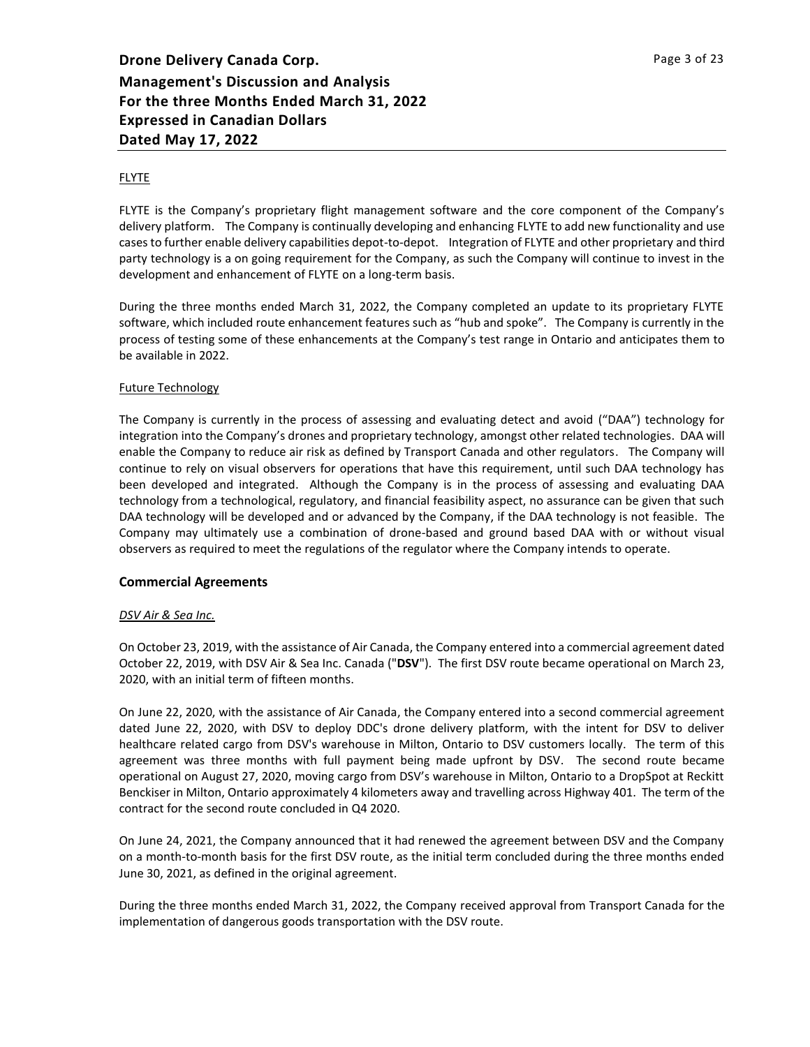## FLYTE

FLYTE is the Company's proprietary flight management software and the core component of the Company's delivery platform. The Company is continually developing and enhancing FLYTE to add new functionality and use cases to further enable delivery capabilities depot-to-depot. Integration of FLYTE and other proprietary and third party technology is a on going requirement for the Company, as such the Company will continue to invest in the development and enhancement of FLYTE on a long-term basis.

During the three months ended March 31, 2022, the Company completed an update to its proprietary FLYTE software, which included route enhancement features such as "hub and spoke". The Company is currently in the process of testing some of these enhancements at the Company's test range in Ontario and anticipates them to be available in 2022.

## Future Technology

The Company is currently in the process of assessing and evaluating detect and avoid ("DAA") technology for integration into the Company's drones and proprietary technology, amongst other related technologies. DAA will enable the Company to reduce air risk as defined by Transport Canada and other regulators. The Company will continue to rely on visual observers for operations that have this requirement, until such DAA technology has been developed and integrated. Although the Company is in the process of assessing and evaluating DAA technology from a technological, regulatory, and financial feasibility aspect, no assurance can be given that such DAA technology will be developed and or advanced by the Company, if the DAA technology is not feasible. The Company may ultimately use a combination of drone-based and ground based DAA with or without visual observers as required to meet the regulations of the regulator where the Company intends to operate.

## **Commercial Agreements**

## *DSV Air & Sea Inc.*

On October 23, 2019, with the assistance of Air Canada, the Company entered into a commercial agreement dated October 22, 2019, with DSV Air & Sea Inc. Canada ("**DSV**"). The first DSV route became operational on March 23, 2020, with an initial term of fifteen months.

On June 22, 2020, with the assistance of Air Canada, the Company entered into a second commercial agreement dated June 22, 2020, with DSV to deploy DDC's drone delivery platform, with the intent for DSV to deliver healthcare related cargo from DSV's warehouse in Milton, Ontario to DSV customers locally. The term of this agreement was three months with full payment being made upfront by DSV. The second route became operational on August 27, 2020, moving cargo from DSV's warehouse in Milton, Ontario to a DropSpot at Reckitt Benckiser in Milton, Ontario approximately 4 kilometers away and travelling across Highway 401. The term of the contract for the second route concluded in Q4 2020.

On June 24, 2021, the Company announced that it had renewed the agreement between DSV and the Company on a month-to-month basis for the first DSV route, as the initial term concluded during the three months ended June 30, 2021, as defined in the original agreement.

During the three months ended March 31, 2022, the Company received approval from Transport Canada for the implementation of dangerous goods transportation with the DSV route.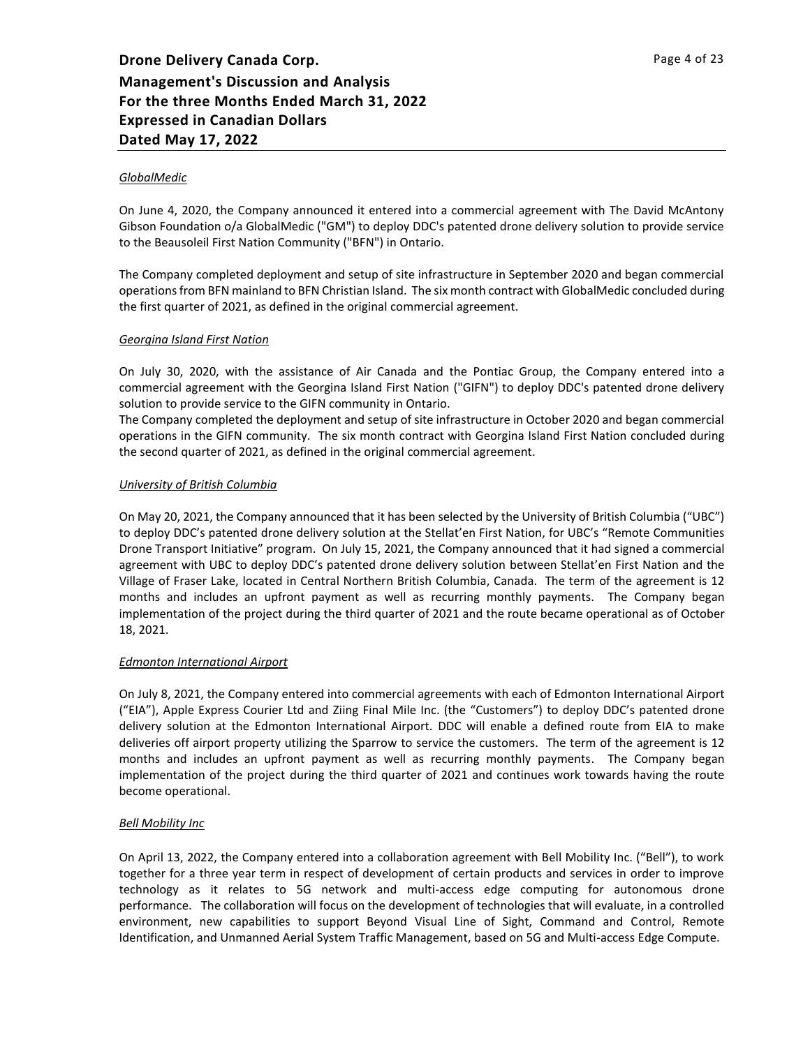## *GlobalMedic*

On June 4, 2020, the Company announced it entered into a commercial agreement with The David McAntony Gibson Foundation o/a GlobalMedic ("GM") to deploy DDC's patented drone delivery solution to provide service to the Beausoleil First Nation Community ("BFN") in Ontario.

The Company completed deployment and setup of site infrastructure in September 2020 and began commercial operations from BFN mainland to BFN Christian Island. The six month contract with GlobalMedic concluded during the first quarter of 2021, as defined in the original commercial agreement.

## *Georgina Island First Nation*

On July 30, 2020, with the assistance of Air Canada and the Pontiac Group, the Company entered into a commercial agreement with the Georgina Island First Nation ("GIFN") to deploy DDC's patented drone delivery solution to provide service to the GIFN community in Ontario.

The Company completed the deployment and setup of site infrastructure in October 2020 and began commercial operations in the GIFN community. The six month contract with Georgina Island First Nation concluded during the second quarter of 2021, as defined in the original commercial agreement.

## *University of British Columbia*

On May 20, 2021, the Company announced that it has been selected by the University of British Columbia ("UBC") to deploy DDC's patented drone delivery solution at the Stellat'en First Nation, for UBC's "Remote Communities Drone Transport Initiative" program. On July 15, 2021, the Company announced that it had signed a commercial agreement with UBC to deploy DDC's patented drone delivery solution between Stellat'en First Nation and the Village of Fraser Lake, located in Central Northern British Columbia, Canada. The term of the agreement is 12 months and includes an upfront payment as well as recurring monthly payments. The Company began implementation of the project during the third quarter of 2021 and the route became operational as of October 18, 2021.

## *Edmonton International Airport*

On July 8, 2021, the Company entered into commercial agreements with each of Edmonton International Airport ("EIA"), Apple Express Courier Ltd and Ziing Final Mile Inc. (the "Customers") to deploy DDC's patented drone delivery solution at the Edmonton International Airport. DDC will enable a defined route from EIA to make deliveries off airport property utilizing the Sparrow to service the customers. The term of the agreement is 12 months and includes an upfront payment as well as recurring monthly payments. The Company began implementation of the project during the third quarter of 2021 and continues work towards having the route become operational.

## *Bell Mobility Inc*

On April 13, 2022, the Company entered into a collaboration agreement with Bell Mobility Inc. ("Bell"), to work together for a three year term in respect of development of certain products and services in order to improve technology as it relates to 5G network and multi-access edge computing for autonomous drone performance. The collaboration will focus on the development of technologies that will evaluate, in a controlled environment, new capabilities to support Beyond Visual Line of Sight, Command and Control, Remote Identification, and Unmanned Aerial System Traffic Management, based on 5G and Multi-access Edge Compute.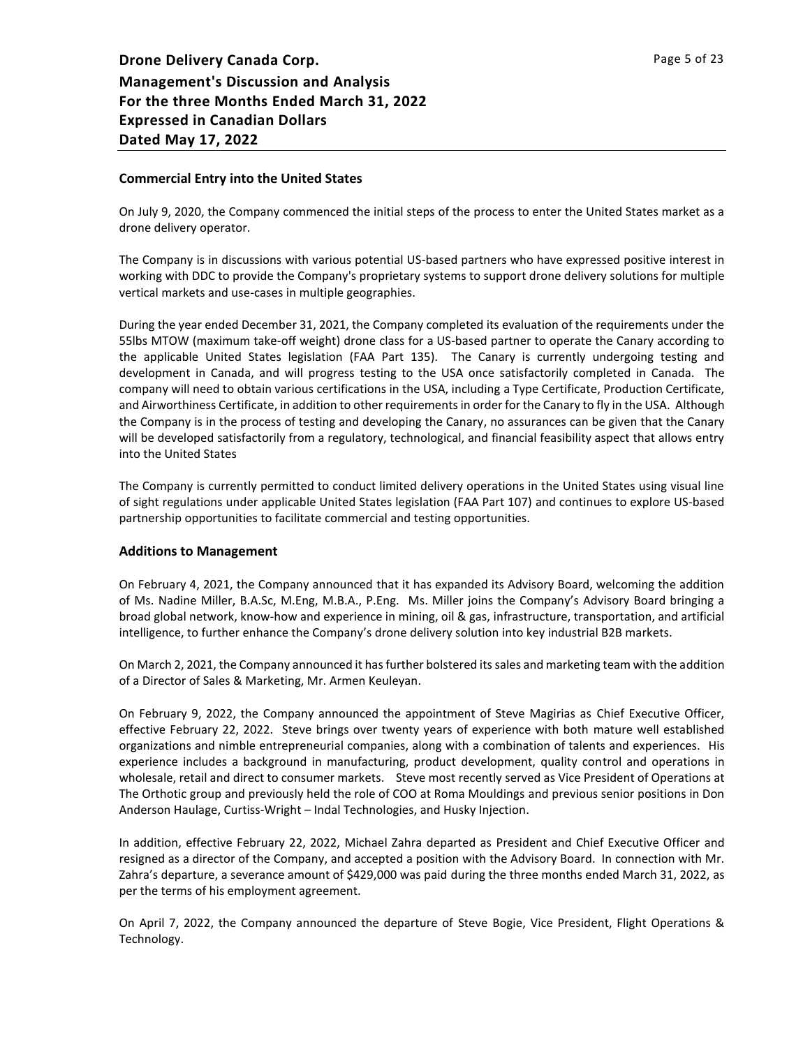## **Commercial Entry into the United States**

On July 9, 2020, the Company commenced the initial steps of the process to enter the United States market as a drone delivery operator.

The Company is in discussions with various potential US-based partners who have expressed positive interest in working with DDC to provide the Company's proprietary systems to support drone delivery solutions for multiple vertical markets and use-cases in multiple geographies.

During the year ended December 31, 2021, the Company completed its evaluation of the requirements under the 55lbs MTOW (maximum take-off weight) drone class for a US-based partner to operate the Canary according to the applicable United States legislation (FAA Part 135). The Canary is currently undergoing testing and development in Canada, and will progress testing to the USA once satisfactorily completed in Canada. The company will need to obtain various certifications in the USA, including a Type Certificate, Production Certificate, and Airworthiness Certificate, in addition to other requirements in order for the Canary to fly in the USA. Although the Company is in the process of testing and developing the Canary, no assurances can be given that the Canary will be developed satisfactorily from a regulatory, technological, and financial feasibility aspect that allows entry into the United States

The Company is currently permitted to conduct limited delivery operations in the United States using visual line of sight regulations under applicable United States legislation (FAA Part 107) and continues to explore US-based partnership opportunities to facilitate commercial and testing opportunities.

## **Additions to Management**

On February 4, 2021, the Company announced that it has expanded its Advisory Board, welcoming the addition of Ms. Nadine Miller, B.A.Sc, M.Eng, M.B.A., P.Eng. Ms. Miller joins the Company's Advisory Board bringing a broad global network, know-how and experience in mining, oil & gas, infrastructure, transportation, and artificial intelligence, to further enhance the Company's drone delivery solution into key industrial B2B markets.

On March 2, 2021, the Company announced it has further bolstered its sales and marketing team with the addition of a Director of Sales & Marketing, Mr. Armen Keuleyan.

On February 9, 2022, the Company announced the appointment of Steve Magirias as Chief Executive Officer, effective February 22, 2022. Steve brings over twenty years of experience with both mature well established organizations and nimble entrepreneurial companies, along with a combination of talents and experiences. His experience includes a background in manufacturing, product development, quality control and operations in wholesale, retail and direct to consumer markets. Steve most recently served as Vice President of Operations at The Orthotic group and previously held the role of COO at Roma Mouldings and previous senior positions in Don Anderson Haulage, Curtiss-Wright – Indal Technologies, and Husky Injection.

In addition, effective February 22, 2022, Michael Zahra departed as President and Chief Executive Officer and resigned as a director of the Company, and accepted a position with the Advisory Board. In connection with Mr. Zahra's departure, a severance amount of \$429,000 was paid during the three months ended March 31, 2022, as per the terms of his employment agreement.

On April 7, 2022, the Company announced the departure of Steve Bogie, Vice President, Flight Operations & Technology.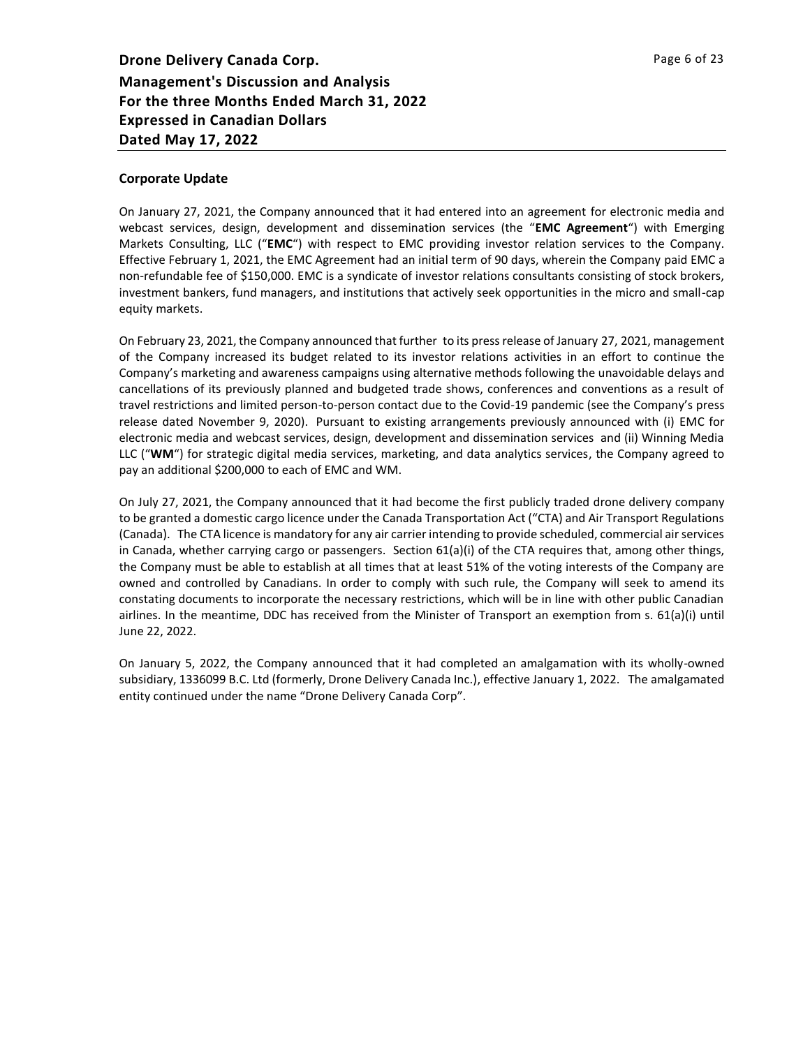## **Corporate Update**

On January 27, 2021, the Company announced that it had entered into an agreement for electronic media and webcast services, design, development and dissemination services (the "**EMC Agreement**") with Emerging Markets Consulting, LLC ("**EMC**") with respect to EMC providing investor relation services to the Company. Effective February 1, 2021, the EMC Agreement had an initial term of 90 days, wherein the Company paid EMC a non-refundable fee of \$150,000. EMC is a syndicate of investor relations consultants consisting of stock brokers, investment bankers, fund managers, and institutions that actively seek opportunities in the micro and small-cap equity markets.

On February 23, 2021, the Company announced that further to its press release of January 27, 2021, management of the Company increased its budget related to its investor relations activities in an effort to continue the Company's marketing and awareness campaigns using alternative methods following the unavoidable delays and cancellations of its previously planned and budgeted trade shows, conferences and conventions as a result of travel restrictions and limited person-to-person contact due to the Covid-19 pandemic (see the Company's press release dated November 9, 2020). Pursuant to existing arrangements previously announced with (i) EMC for electronic media and webcast services, design, development and dissemination services and (ii) Winning Media LLC ("**WM**") for strategic digital media services, marketing, and data analytics services, the Company agreed to pay an additional \$200,000 to each of EMC and WM.

On July 27, 2021, the Company announced that it had become the first publicly traded drone delivery company to be granted a domestic cargo licence under the Canada Transportation Act ("CTA) and Air Transport Regulations (Canada). The CTA licence is mandatory for any air carrier intending to provide scheduled, commercial air services in Canada, whether carrying cargo or passengers. Section 61(a)(i) of the CTA requires that, among other things, the Company must be able to establish at all times that at least 51% of the voting interests of the Company are owned and controlled by Canadians. In order to comply with such rule, the Company will seek to amend its constating documents to incorporate the necessary restrictions, which will be in line with other public Canadian airlines. In the meantime, DDC has received from the Minister of Transport an exemption from s. 61(a)(i) until June 22, 2022.

On January 5, 2022, the Company announced that it had completed an amalgamation with its wholly-owned subsidiary, 1336099 B.C. Ltd (formerly, Drone Delivery Canada Inc.), effective January 1, 2022. The amalgamated entity continued under the name "Drone Delivery Canada Corp".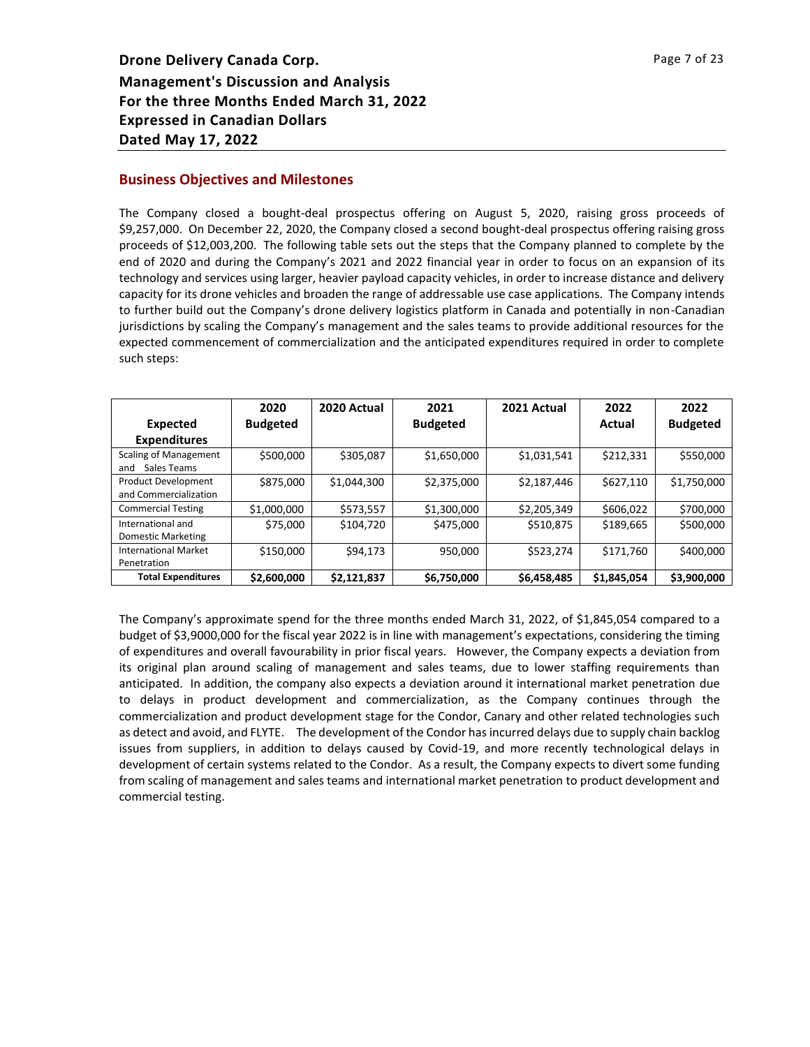## **Business Objectives and Milestones**

The Company closed a bought-deal prospectus offering on August 5, 2020, raising gross proceeds of \$9,257,000. On December 22, 2020, the Company closed a second bought-deal prospectus offering raising gross proceeds of \$12,003,200. The following table sets out the steps that the Company planned to complete by the end of 2020 and during the Company's 2021 and 2022 financial year in order to focus on an expansion of its technology and services using larger, heavier payload capacity vehicles, in order to increase distance and delivery capacity for its drone vehicles and broaden the range of addressable use case applications. The Company intends to further build out the Company's drone delivery logistics platform in Canada and potentially in non-Canadian jurisdictions by scaling the Company's management and the sales teams to provide additional resources for the expected commencement of commercialization and the anticipated expenditures required in order to complete such steps:

|                                                    | 2020            | 2020 Actual | 2021            | 2021 Actual | 2022        | 2022            |
|----------------------------------------------------|-----------------|-------------|-----------------|-------------|-------------|-----------------|
| Expected                                           | <b>Budgeted</b> |             | <b>Budgeted</b> |             | Actual      | <b>Budgeted</b> |
| <b>Expenditures</b>                                |                 |             |                 |             |             |                 |
| <b>Scaling of Management</b><br>Sales Teams<br>and | \$500,000       | \$305,087   | \$1,650,000     | \$1,031,541 | \$212,331   | \$550,000       |
| Product Development<br>and Commercialization       | \$875,000       | \$1,044,300 | \$2,375,000     | \$2,187,446 | \$627,110   | \$1,750,000     |
| <b>Commercial Testing</b>                          | \$1,000,000     | \$573,557   | \$1,300,000     | \$2,205,349 | \$606,022   | \$700,000       |
| International and<br><b>Domestic Marketing</b>     | \$75,000        | \$104,720   | \$475,000       | \$510,875   | \$189,665   | \$500,000       |
| <b>International Market</b><br>Penetration         | \$150,000       | \$94,173    | 950,000         | \$523,274   | \$171,760   | \$400,000       |
| <b>Total Expenditures</b>                          | \$2,600,000     | \$2,121,837 | \$6,750,000     | \$6,458,485 | \$1,845,054 | \$3,900,000     |

The Company's approximate spend for the three months ended March 31, 2022, of \$1,845,054 compared to a budget of \$3,9000,000 for the fiscal year 2022 is in line with management's expectations, considering the timing of expenditures and overall favourability in prior fiscal years. However, the Company expects a deviation from its original plan around scaling of management and sales teams, due to lower staffing requirements than anticipated. In addition, the company also expects a deviation around it international market penetration due to delays in product development and commercialization, as the Company continues through the commercialization and product development stage for the Condor, Canary and other related technologies such as detect and avoid, and FLYTE. The development of the Condor has incurred delays due to supply chain backlog issues from suppliers, in addition to delays caused by Covid-19, and more recently technological delays in development of certain systems related to the Condor. As a result, the Company expects to divert some funding from scaling of management and sales teams and international market penetration to product development and commercial testing.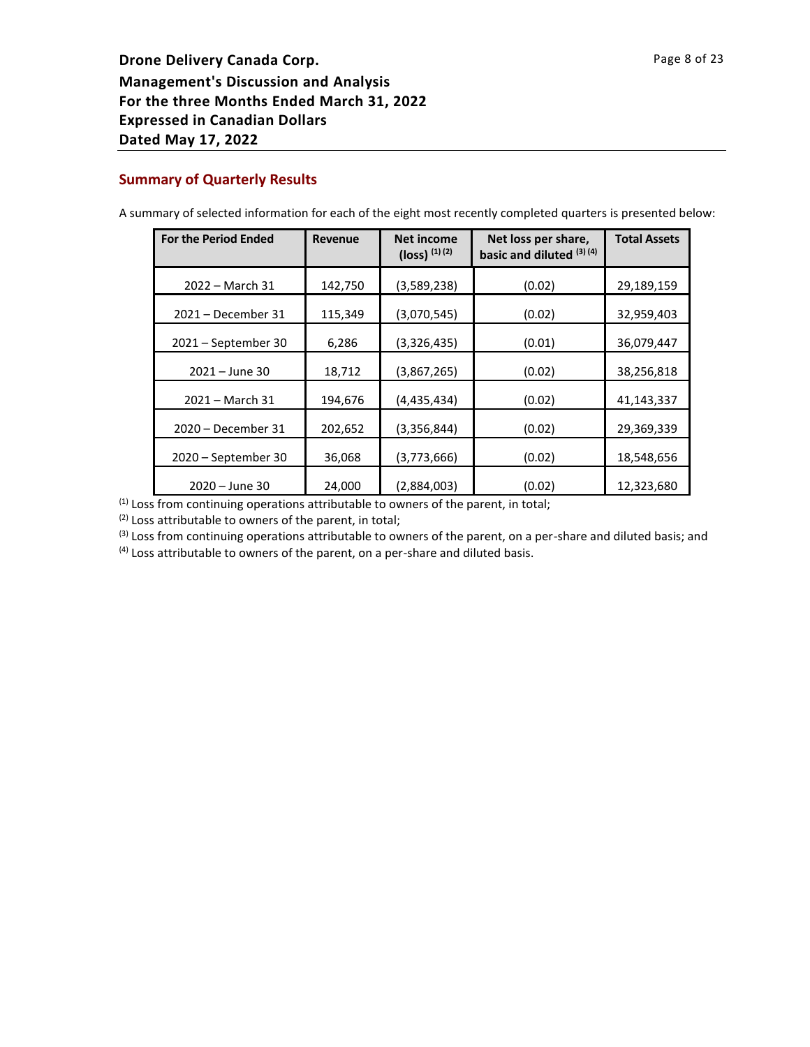# **Summary of Quarterly Results**

| <b>For the Period Ended</b> | <b>Revenue</b> | Net income<br>$(loss)$ <sup>(1)(2)</sup> | Net loss per share,<br>basic and diluted (3) (4) | <b>Total Assets</b> |
|-----------------------------|----------------|------------------------------------------|--------------------------------------------------|---------------------|
| 2022 - March 31             | 142,750        | (3,589,238)                              | (0.02)                                           | 29,189,159          |
| 2021 - December 31          | 115,349        | (3,070,545)                              | (0.02)                                           | 32,959,403          |
| $2021 - September 30$       | 6,286          | (3,326,435)                              | (0.01)                                           | 36,079,447          |
| $2021 - June 30$            | 18,712         | (3,867,265)                              | (0.02)                                           | 38,256,818          |
| 2021 - March 31             | 194,676        | (4,435,434)                              | (0.02)                                           | 41,143,337          |
| 2020 - December 31          | 202,652        | (3,356,844)                              | (0.02)                                           | 29,369,339          |
| 2020 - September 30         | 36,068         | (3,773,666)                              | (0.02)                                           | 18,548,656          |
| 2020 - June 30              | 24,000         | (2,884,003)                              | (0.02)                                           | 12,323,680          |

A summary of selected information for each of the eight most recently completed quarters is presented below:

(1) Loss from continuing operations attributable to owners of the parent, in total;

(2) Loss attributable to owners of the parent, in total;

<sup>(3)</sup> Loss from continuing operations attributable to owners of the parent, on a per-share and diluted basis; and

 $<sup>(4)</sup>$  Loss attributable to owners of the parent, on a per-share and diluted basis.</sup>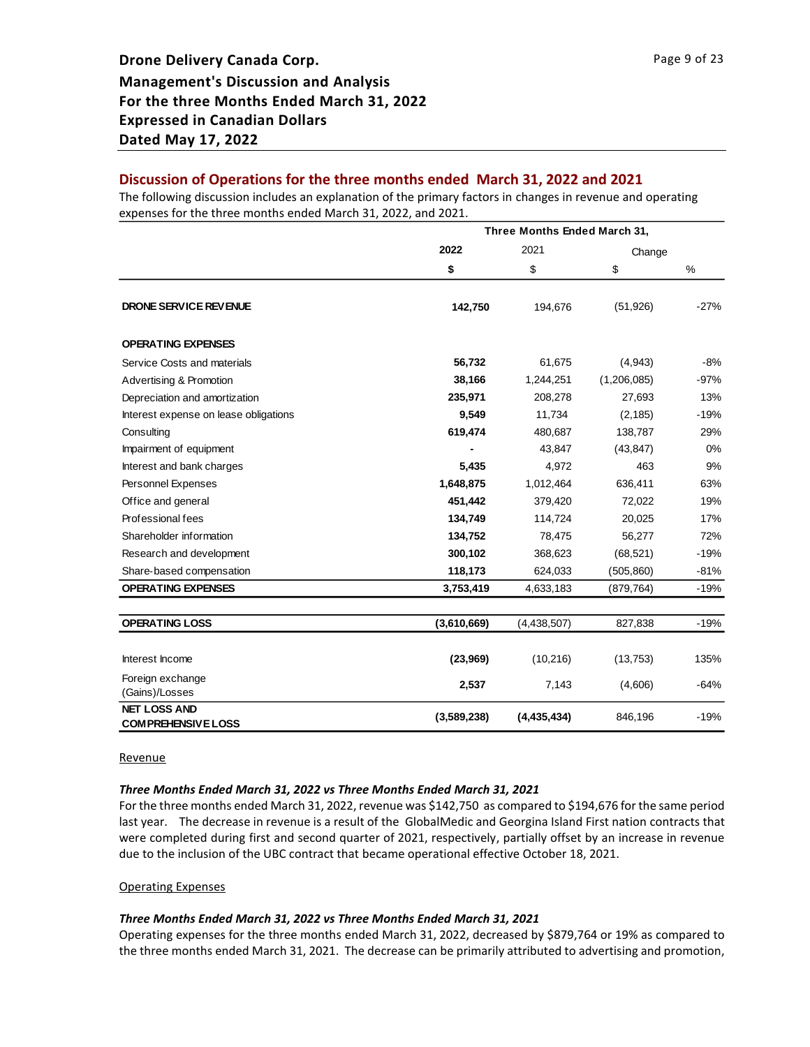# **Discussion of Operations for the three months ended March 31, 2022 and 2021**

The following discussion includes an explanation of the primary factors in changes in revenue and operating expenses for the three months ended March 31, 2022, and 2021.

|                                                  | Three Months Ended March 31, |             |             |        |
|--------------------------------------------------|------------------------------|-------------|-------------|--------|
|                                                  | 2022                         | 2021        | Change      |        |
|                                                  | \$                           | \$          | \$          | %      |
| DRONE SERVICE REVENUE                            | 142,750                      | 194,676     | (51, 926)   | $-27%$ |
| <b>OPERATING EXPENSES</b>                        |                              |             |             |        |
| Service Costs and materials                      | 56,732                       | 61,675      | (4,943)     | $-8%$  |
| Advertising & Promotion                          | 38,166                       | 1,244,251   | (1,206,085) | $-97%$ |
| Depreciation and amortization                    | 235,971                      | 208,278     | 27,693      | 13%    |
| Interest expense on lease obligations            | 9,549                        | 11,734      | (2, 185)    | $-19%$ |
| Consulting                                       | 619,474                      | 480,687     | 138,787     | 29%    |
| Impairment of equipment                          |                              | 43,847      | (43, 847)   | 0%     |
| Interest and bank charges                        | 5,435                        | 4,972       | 463         | 9%     |
| Personnel Expenses                               | 1,648,875                    | 1,012,464   | 636,411     | 63%    |
| Office and general                               | 451,442                      | 379,420     | 72,022      | 19%    |
| Professional fees                                | 134,749                      | 114,724     | 20,025      | 17%    |
| Shareholder information                          | 134,752                      | 78,475      | 56,277      | 72%    |
| Research and development                         | 300,102                      | 368,623     | (68, 521)   | $-19%$ |
| Share-based compensation                         | 118,173                      | 624,033     | (505, 860)  | $-81%$ |
| <b>OPERATING EXPENSES</b>                        | 3,753,419                    | 4,633,183   | (879, 764)  | $-19%$ |
| <b>OPERATING LOSS</b>                            | (3,610,669)                  | (4,438,507) | 827,838     | $-19%$ |
|                                                  |                              |             |             |        |
| Interest Income                                  | (23,969)                     | (10, 216)   | (13,753)    | 135%   |
| Foreign exchange<br>(Gains)/Losses               | 2,537                        | 7,143       | (4,606)     | $-64%$ |
| <b>NET LOSS AND</b><br><b>COMPREHENSIVE LOSS</b> | (3,589,238)                  | (4,435,434) | 846,196     | $-19%$ |

**Revenue** 

#### *Three Months Ended March 31, 2022 vs Three Months Ended March 31, 2021*

For the three months ended March 31, 2022, revenue was \$142,750 as compared to \$194,676 for the same period last year. The decrease in revenue is a result of the GlobalMedic and Georgina Island First nation contracts that were completed during first and second quarter of 2021, respectively, partially offset by an increase in revenue due to the inclusion of the UBC contract that became operational effective October 18, 2021.

#### Operating Expenses

#### *Three Months Ended March 31, 2022 vs Three Months Ended March 31, 2021*

Operating expenses for the three months ended March 31, 2022, decreased by \$879,764 or 19% as compared to the three months ended March 31, 2021. The decrease can be primarily attributed to advertising and promotion,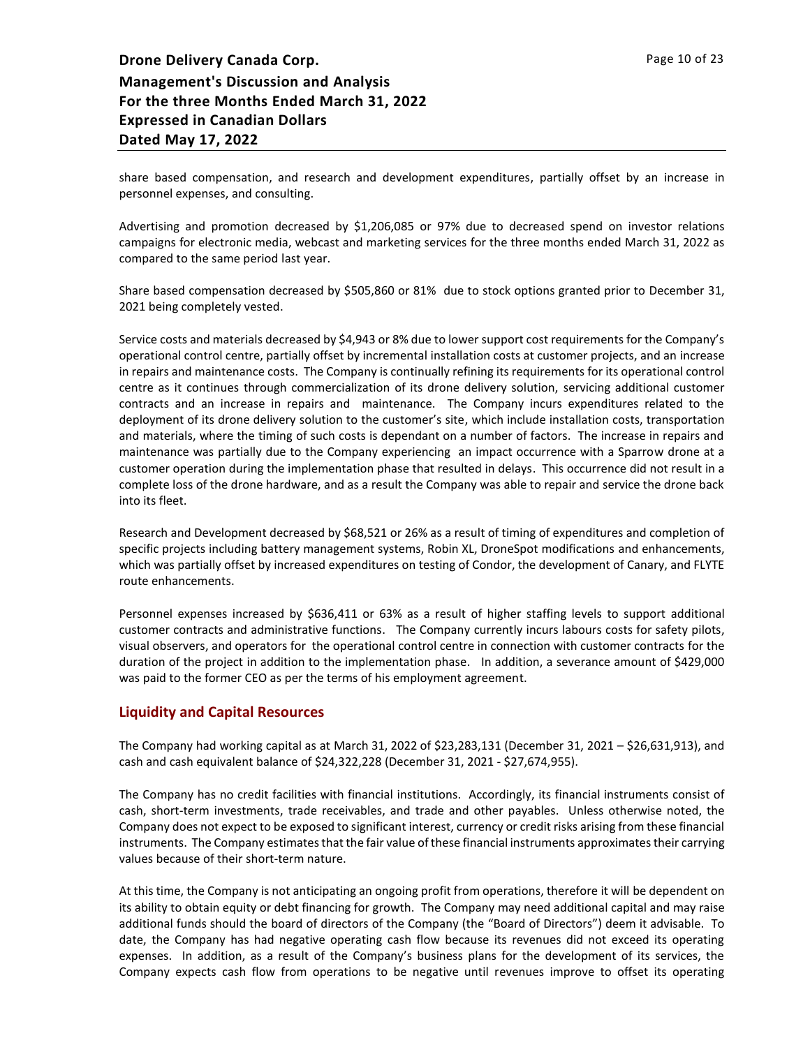share based compensation, and research and development expenditures, partially offset by an increase in personnel expenses, and consulting.

Advertising and promotion decreased by \$1,206,085 or 97% due to decreased spend on investor relations campaigns for electronic media, webcast and marketing services for the three months ended March 31, 2022 as compared to the same period last year.

Share based compensation decreased by \$505,860 or 81% due to stock options granted prior to December 31, 2021 being completely vested.

Service costs and materials decreased by \$4,943 or 8% due to lower support cost requirements for the Company's operational control centre, partially offset by incremental installation costs at customer projects, and an increase in repairs and maintenance costs. The Company is continually refining its requirements for its operational control centre as it continues through commercialization of its drone delivery solution, servicing additional customer contracts and an increase in repairs and maintenance. The Company incurs expenditures related to the deployment of its drone delivery solution to the customer's site, which include installation costs, transportation and materials, where the timing of such costs is dependant on a number of factors. The increase in repairs and maintenance was partially due to the Company experiencing an impact occurrence with a Sparrow drone at a customer operation during the implementation phase that resulted in delays. This occurrence did not result in a complete loss of the drone hardware, and as a result the Company was able to repair and service the drone back into its fleet.

Research and Development decreased by \$68,521 or 26% as a result of timing of expenditures and completion of specific projects including battery management systems, Robin XL, DroneSpot modifications and enhancements, which was partially offset by increased expenditures on testing of Condor, the development of Canary, and FLYTE route enhancements.

Personnel expenses increased by \$636,411 or 63% as a result of higher staffing levels to support additional customer contracts and administrative functions. The Company currently incurs labours costs for safety pilots, visual observers, and operators for the operational control centre in connection with customer contracts for the duration of the project in addition to the implementation phase. In addition, a severance amount of \$429,000 was paid to the former CEO as per the terms of his employment agreement.

# **Liquidity and Capital Resources**

The Company had working capital as at March 31, 2022 of \$23,283,131 (December 31, 2021 – \$26,631,913), and cash and cash equivalent balance of \$24,322,228 (December 31, 2021 - \$27,674,955).

The Company has no credit facilities with financial institutions. Accordingly, its financial instruments consist of cash, short-term investments, trade receivables, and trade and other payables. Unless otherwise noted, the Company does not expect to be exposed to significant interest, currency or credit risks arising from these financial instruments. The Company estimates that the fair value of these financial instruments approximatestheir carrying values because of their short-term nature.

At this time, the Company is not anticipating an ongoing profit from operations, therefore it will be dependent on its ability to obtain equity or debt financing for growth. The Company may need additional capital and may raise additional funds should the board of directors of the Company (the "Board of Directors") deem it advisable. To date, the Company has had negative operating cash flow because its revenues did not exceed its operating expenses. In addition, as a result of the Company's business plans for the development of its services, the Company expects cash flow from operations to be negative until revenues improve to offset its operating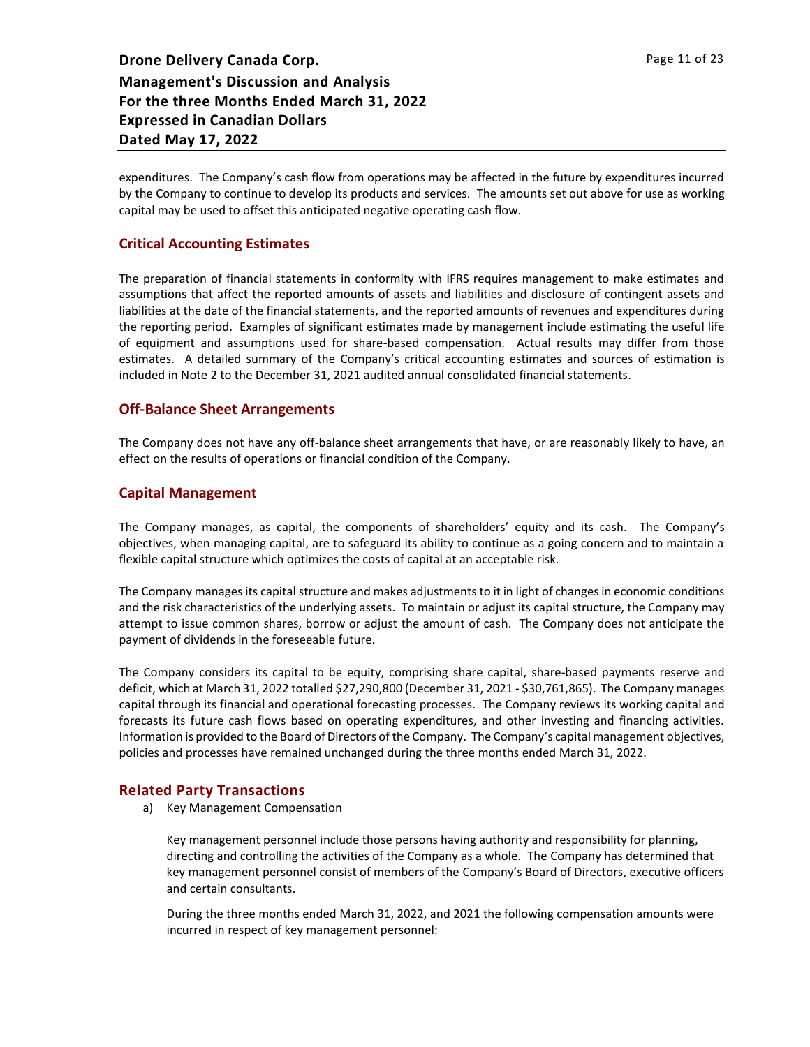expenditures. The Company's cash flow from operations may be affected in the future by expenditures incurred by the Company to continue to develop its products and services. The amounts set out above for use as working capital may be used to offset this anticipated negative operating cash flow.

# **Critical Accounting Estimates**

The preparation of financial statements in conformity with IFRS requires management to make estimates and assumptions that affect the reported amounts of assets and liabilities and disclosure of contingent assets and liabilities at the date of the financial statements, and the reported amounts of revenues and expenditures during the reporting period. Examples of significant estimates made by management include estimating the useful life of equipment and assumptions used for share-based compensation. Actual results may differ from those estimates. A detailed summary of the Company's critical accounting estimates and sources of estimation is included in Note 2 to the December 31, 2021 audited annual consolidated financial statements.

# **Off-Balance Sheet Arrangements**

The Company does not have any off-balance sheet arrangements that have, or are reasonably likely to have, an effect on the results of operations or financial condition of the Company.

# **Capital Management**

The Company manages, as capital, the components of shareholders' equity and its cash. The Company's objectives, when managing capital, are to safeguard its ability to continue as a going concern and to maintain a flexible capital structure which optimizes the costs of capital at an acceptable risk.

The Company manages its capital structure and makes adjustments to it in light of changes in economic conditions and the risk characteristics of the underlying assets. To maintain or adjust its capital structure, the Company may attempt to issue common shares, borrow or adjust the amount of cash. The Company does not anticipate the payment of dividends in the foreseeable future.

The Company considers its capital to be equity, comprising share capital, share-based payments reserve and deficit, which at March 31, 2022 totalled \$27,290,800 (December 31, 2021 - \$30,761,865). The Company manages capital through its financial and operational forecasting processes. The Company reviews its working capital and forecasts its future cash flows based on operating expenditures, and other investing and financing activities. Information is provided to the Board of Directors of the Company. The Company's capital management objectives, policies and processes have remained unchanged during the three months ended March 31, 2022.

# **Related Party Transactions**

a) Key Management Compensation

Key management personnel include those persons having authority and responsibility for planning, directing and controlling the activities of the Company as a whole. The Company has determined that key management personnel consist of members of the Company's Board of Directors, executive officers and certain consultants.

During the three months ended March 31, 2022, and 2021 the following compensation amounts were incurred in respect of key management personnel: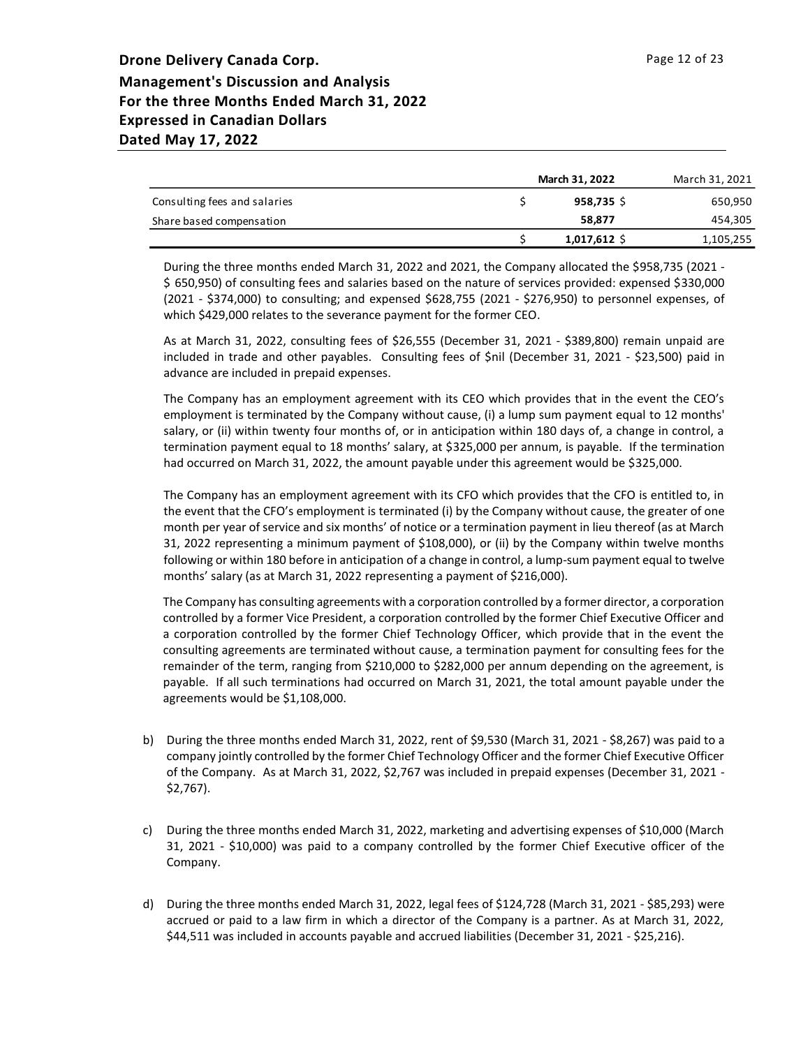|                              | March 31, 2022 | March 31, 2021 |
|------------------------------|----------------|----------------|
| Consulting fees and salaries | $958,735$ \$   | 650,950        |
| Share based compensation     | 58.877         | 454,305        |
|                              | $1,017,612$ \$ | 1,105,255      |

During the three months ended March 31, 2022 and 2021, the Company allocated the \$958,735 (2021 - \$ 650,950) of consulting fees and salaries based on the nature of services provided: expensed \$330,000 (2021 - \$374,000) to consulting; and expensed \$628,755 (2021 - \$276,950) to personnel expenses, of which \$429,000 relates to the severance payment for the former CEO.

As at March 31, 2022, consulting fees of \$26,555 (December 31, 2021 - \$389,800) remain unpaid are included in trade and other payables. Consulting fees of \$nil (December 31, 2021 - \$23,500) paid in advance are included in prepaid expenses.

The Company has an employment agreement with its CEO which provides that in the event the CEO's employment is terminated by the Company without cause, (i) a lump sum payment equal to 12 months' salary, or (ii) within twenty four months of, or in anticipation within 180 days of, a change in control, a termination payment equal to 18 months' salary, at \$325,000 per annum, is payable. If the termination had occurred on March 31, 2022, the amount payable under this agreement would be \$325,000.

The Company has an employment agreement with its CFO which provides that the CFO is entitled to, in the event that the CFO's employment is terminated (i) by the Company without cause, the greater of one month per year of service and six months' of notice or a termination payment in lieu thereof (as at March 31, 2022 representing a minimum payment of \$108,000), or (ii) by the Company within twelve months following or within 180 before in anticipation of a change in control, a lump-sum payment equal to twelve months' salary (as at March 31, 2022 representing a payment of \$216,000).

The Company has consulting agreements with a corporation controlled by a former director, a corporation controlled by a former Vice President, a corporation controlled by the former Chief Executive Officer and a corporation controlled by the former Chief Technology Officer, which provide that in the event the consulting agreements are terminated without cause, a termination payment for consulting fees for the remainder of the term, ranging from \$210,000 to \$282,000 per annum depending on the agreement, is payable. If all such terminations had occurred on March 31, 2021, the total amount payable under the agreements would be \$1,108,000.

- b) During the three months ended March 31, 2022, rent of \$9,530 (March 31, 2021 \$8,267) was paid to a company jointly controlled by the former Chief Technology Officer and the former Chief Executive Officer of the Company. As at March 31, 2022, \$2,767 was included in prepaid expenses (December 31, 2021 -\$2,767).
- c) During the three months ended March 31, 2022, marketing and advertising expenses of \$10,000 (March 31, 2021 - \$10,000) was paid to a company controlled by the former Chief Executive officer of the Company.
- d) During the three months ended March 31, 2022, legal fees of \$124,728 (March 31, 2021 \$85,293) were accrued or paid to a law firm in which a director of the Company is a partner. As at March 31, 2022, \$44,511 was included in accounts payable and accrued liabilities (December 31, 2021 - \$25,216).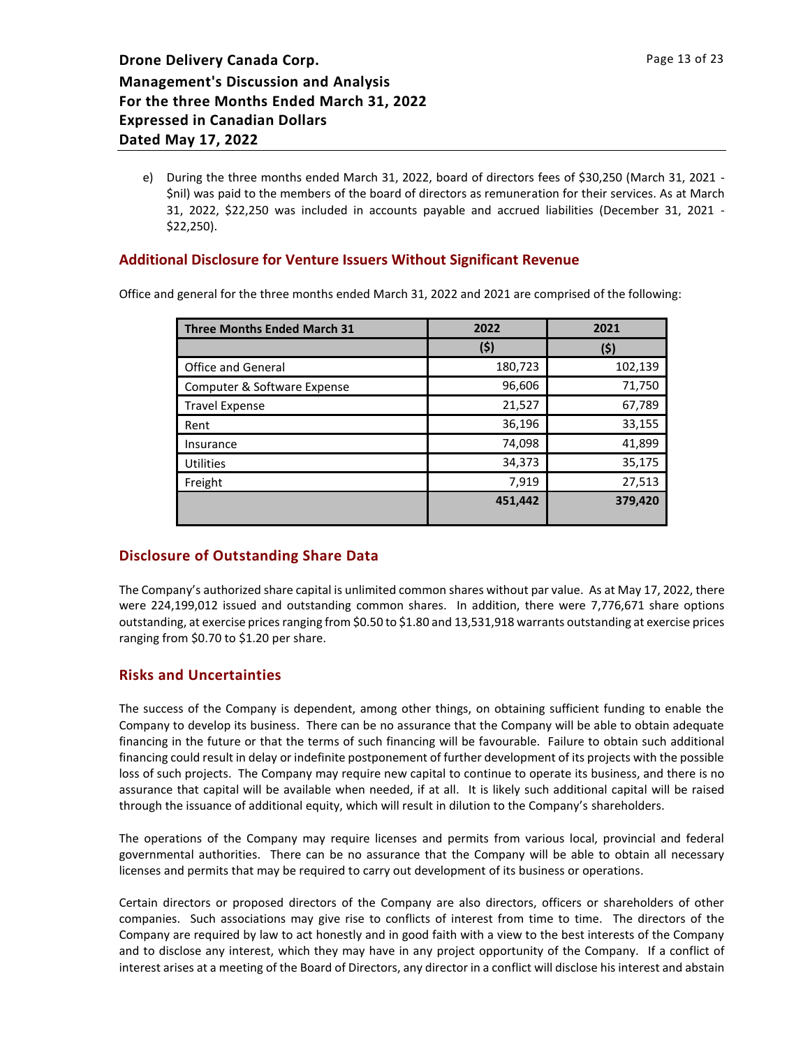e) During the three months ended March 31, 2022, board of directors fees of \$30,250 (March 31, 2021 - \$nil) was paid to the members of the board of directors as remuneration for their services. As at March 31, 2022, \$22,250 was included in accounts payable and accrued liabilities (December 31, 2021 - \$22,250).

# **Additional Disclosure for Venture Issuers Without Significant Revenue**

Office and general for the three months ended March 31, 2022 and 2021 are comprised of the following:

| <b>Three Months Ended March 31</b> | 2022    | 2021    |  |
|------------------------------------|---------|---------|--|
|                                    | (\$)    | (\$)    |  |
| <b>Office and General</b>          | 180,723 | 102,139 |  |
| Computer & Software Expense        | 96,606  | 71,750  |  |
| <b>Travel Expense</b>              | 21,527  | 67,789  |  |
| Rent                               | 36,196  | 33,155  |  |
| Insurance                          | 74,098  | 41,899  |  |
| Utilities                          | 34,373  | 35,175  |  |
| Freight                            | 7,919   | 27,513  |  |
|                                    | 451,442 | 379,420 |  |
|                                    |         |         |  |

# **Disclosure of Outstanding Share Data**

The Company's authorized share capital is unlimited common shares without par value. As at May 17, 2022, there were 224,199,012 issued and outstanding common shares. In addition, there were 7,776,671 share options outstanding, at exercise prices ranging from \$0.50 to \$1.80 and 13,531,918 warrants outstanding at exercise prices ranging from \$0.70 to \$1.20 per share.

# **Risks and Uncertainties**

The success of the Company is dependent, among other things, on obtaining sufficient funding to enable the Company to develop its business. There can be no assurance that the Company will be able to obtain adequate financing in the future or that the terms of such financing will be favourable. Failure to obtain such additional financing could result in delay or indefinite postponement of further development of its projects with the possible loss of such projects. The Company may require new capital to continue to operate its business, and there is no assurance that capital will be available when needed, if at all. It is likely such additional capital will be raised through the issuance of additional equity, which will result in dilution to the Company's shareholders.

The operations of the Company may require licenses and permits from various local, provincial and federal governmental authorities. There can be no assurance that the Company will be able to obtain all necessary licenses and permits that may be required to carry out development of its business or operations.

Certain directors or proposed directors of the Company are also directors, officers or shareholders of other companies. Such associations may give rise to conflicts of interest from time to time. The directors of the Company are required by law to act honestly and in good faith with a view to the best interests of the Company and to disclose any interest, which they may have in any project opportunity of the Company. If a conflict of interest arises at a meeting of the Board of Directors, any director in a conflict will disclose his interest and abstain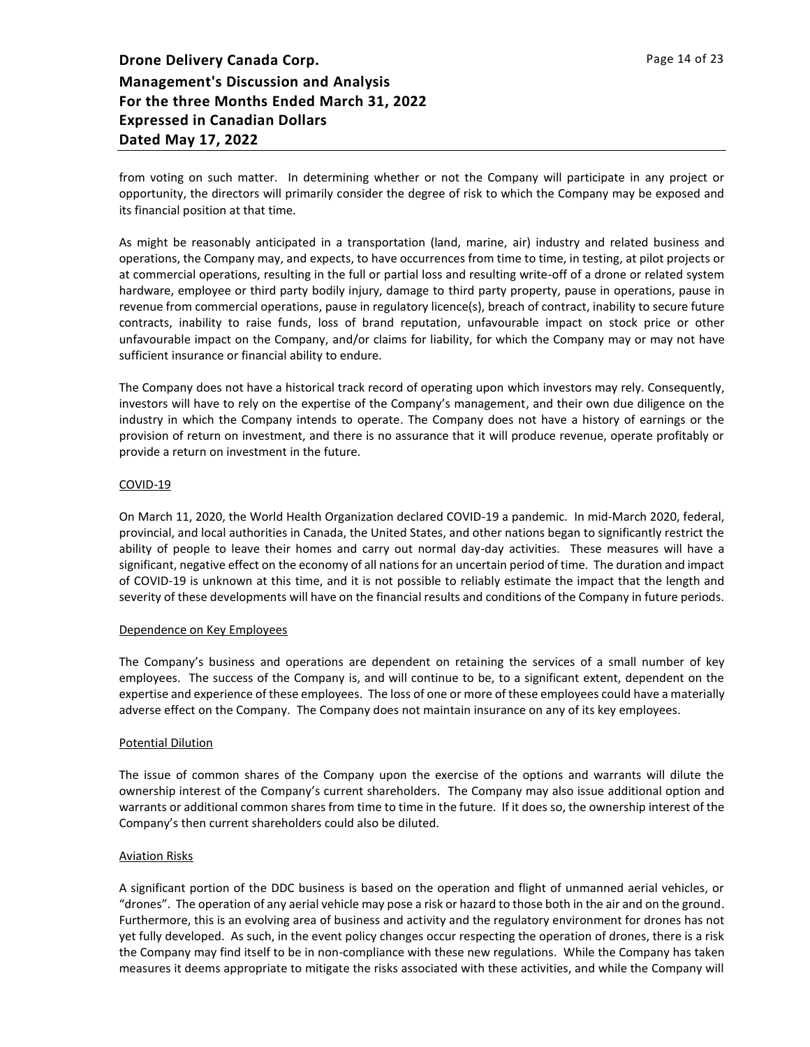from voting on such matter. In determining whether or not the Company will participate in any project or opportunity, the directors will primarily consider the degree of risk to which the Company may be exposed and its financial position at that time.

As might be reasonably anticipated in a transportation (land, marine, air) industry and related business and operations, the Company may, and expects, to have occurrences from time to time, in testing, at pilot projects or at commercial operations, resulting in the full or partial loss and resulting write-off of a drone or related system hardware, employee or third party bodily injury, damage to third party property, pause in operations, pause in revenue from commercial operations, pause in regulatory licence(s), breach of contract, inability to secure future contracts, inability to raise funds, loss of brand reputation, unfavourable impact on stock price or other unfavourable impact on the Company, and/or claims for liability, for which the Company may or may not have sufficient insurance or financial ability to endure.

The Company does not have a historical track record of operating upon which investors may rely. Consequently, investors will have to rely on the expertise of the Company's management, and their own due diligence on the industry in which the Company intends to operate. The Company does not have a history of earnings or the provision of return on investment, and there is no assurance that it will produce revenue, operate profitably or provide a return on investment in the future.

## COVID-19

On March 11, 2020, the World Health Organization declared COVID-19 a pandemic. In mid-March 2020, federal, provincial, and local authorities in Canada, the United States, and other nations began to significantly restrict the ability of people to leave their homes and carry out normal day-day activities. These measures will have a significant, negative effect on the economy of all nations for an uncertain period of time. The duration and impact of COVID-19 is unknown at this time, and it is not possible to reliably estimate the impact that the length and severity of these developments will have on the financial results and conditions of the Company in future periods.

## Dependence on Key Employees

The Company's business and operations are dependent on retaining the services of a small number of key employees. The success of the Company is, and will continue to be, to a significant extent, dependent on the expertise and experience of these employees. The loss of one or more of these employees could have a materially adverse effect on the Company. The Company does not maintain insurance on any of its key employees.

## Potential Dilution

The issue of common shares of the Company upon the exercise of the options and warrants will dilute the ownership interest of the Company's current shareholders. The Company may also issue additional option and warrants or additional common shares from time to time in the future. If it does so, the ownership interest of the Company's then current shareholders could also be diluted.

## Aviation Risks

A significant portion of the DDC business is based on the operation and flight of unmanned aerial vehicles, or "drones". The operation of any aerial vehicle may pose a risk or hazard to those both in the air and on the ground. Furthermore, this is an evolving area of business and activity and the regulatory environment for drones has not yet fully developed. As such, in the event policy changes occur respecting the operation of drones, there is a risk the Company may find itself to be in non-compliance with these new regulations. While the Company has taken measures it deems appropriate to mitigate the risks associated with these activities, and while the Company will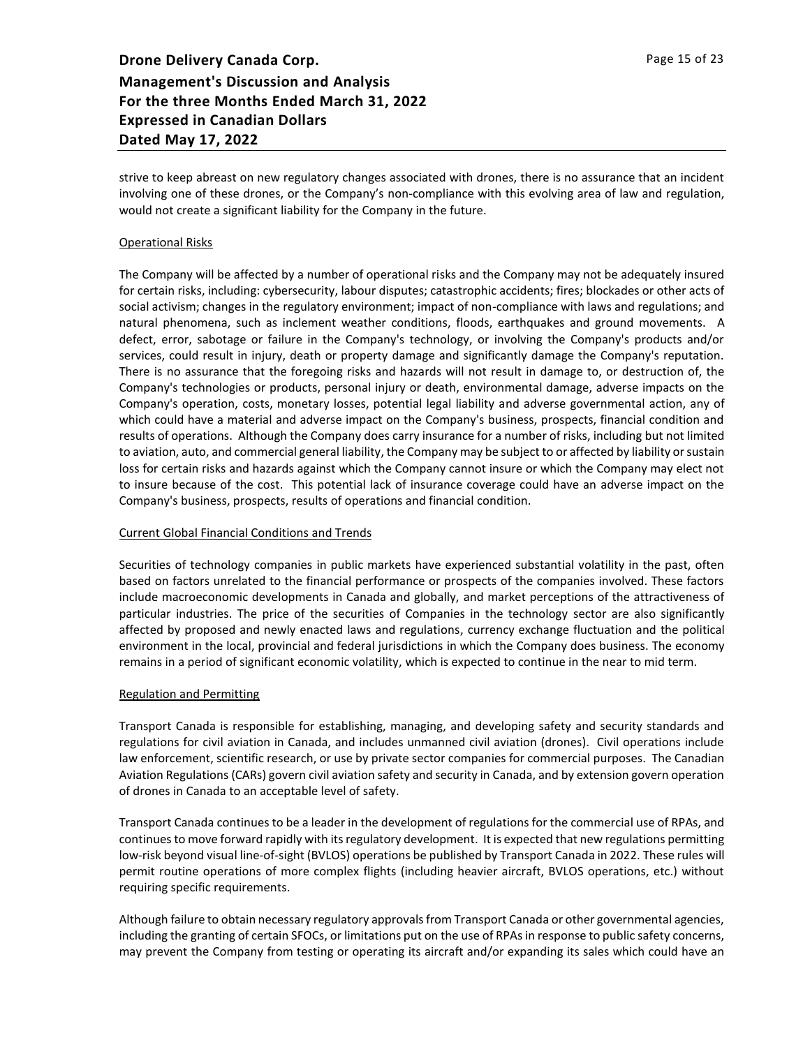strive to keep abreast on new regulatory changes associated with drones, there is no assurance that an incident involving one of these drones, or the Company's non-compliance with this evolving area of law and regulation, would not create a significant liability for the Company in the future.

#### Operational Risks

The Company will be affected by a number of operational risks and the Company may not be adequately insured for certain risks, including: cybersecurity, labour disputes; catastrophic accidents; fires; blockades or other acts of social activism; changes in the regulatory environment; impact of non-compliance with laws and regulations; and natural phenomena, such as inclement weather conditions, floods, earthquakes and ground movements. A defect, error, sabotage or failure in the Company's technology, or involving the Company's products and/or services, could result in injury, death or property damage and significantly damage the Company's reputation. There is no assurance that the foregoing risks and hazards will not result in damage to, or destruction of, the Company's technologies or products, personal injury or death, environmental damage, adverse impacts on the Company's operation, costs, monetary losses, potential legal liability and adverse governmental action, any of which could have a material and adverse impact on the Company's business, prospects, financial condition and results of operations. Although the Company does carry insurance for a number of risks, including but not limited to aviation, auto, and commercial general liability, the Company may be subject to or affected by liability or sustain loss for certain risks and hazards against which the Company cannot insure or which the Company may elect not to insure because of the cost. This potential lack of insurance coverage could have an adverse impact on the Company's business, prospects, results of operations and financial condition.

#### Current Global Financial Conditions and Trends

Securities of technology companies in public markets have experienced substantial volatility in the past, often based on factors unrelated to the financial performance or prospects of the companies involved. These factors include macroeconomic developments in Canada and globally, and market perceptions of the attractiveness of particular industries. The price of the securities of Companies in the technology sector are also significantly affected by proposed and newly enacted laws and regulations, currency exchange fluctuation and the political environment in the local, provincial and federal jurisdictions in which the Company does business. The economy remains in a period of significant economic volatility, which is expected to continue in the near to mid term.

#### Regulation and Permitting

Transport Canada is responsible for establishing, managing, and developing safety and security standards and regulations for civil aviation in Canada, and includes unmanned civil aviation (drones). Civil operations include law enforcement, scientific research, or use by private sector companies for commercial purposes. The Canadian Aviation Regulations (CARs) govern civil aviation safety and security in Canada, and by extension govern operation of drones in Canada to an acceptable level of safety.

Transport Canada continues to be a leader in the development of regulations for the commercial use of RPAs, and continues to move forward rapidly with its regulatory development. It is expected that new regulations permitting low-risk beyond visual line-of-sight (BVLOS) operations be published by Transport Canada in 2022. These rules will permit routine operations of more complex flights (including heavier aircraft, BVLOS operations, etc.) without requiring specific requirements.

Although failure to obtain necessary regulatory approvals from Transport Canada or other governmental agencies, including the granting of certain SFOCs, or limitations put on the use of RPAs in response to public safety concerns, may prevent the Company from testing or operating its aircraft and/or expanding its sales which could have an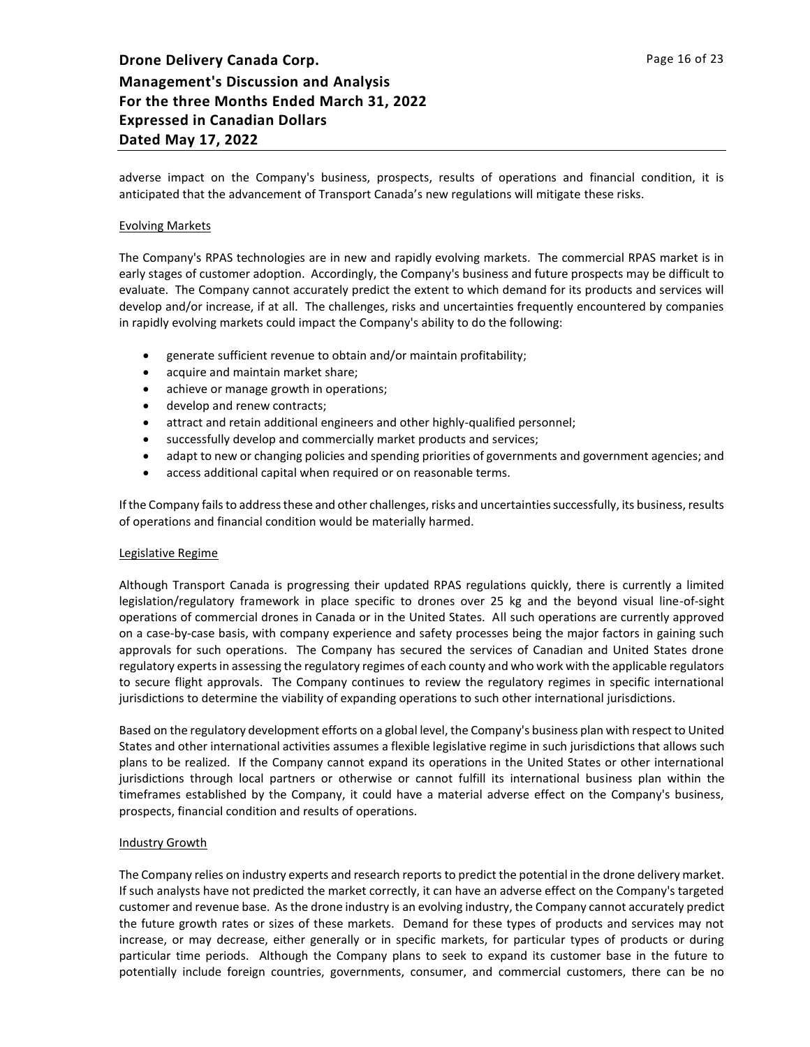adverse impact on the Company's business, prospects, results of operations and financial condition, it is anticipated that the advancement of Transport Canada's new regulations will mitigate these risks.

#### Evolving Markets

The Company's RPAS technologies are in new and rapidly evolving markets. The commercial RPAS market is in early stages of customer adoption. Accordingly, the Company's business and future prospects may be difficult to evaluate. The Company cannot accurately predict the extent to which demand for its products and services will develop and/or increase, if at all. The challenges, risks and uncertainties frequently encountered by companies in rapidly evolving markets could impact the Company's ability to do the following:

- generate sufficient revenue to obtain and/or maintain profitability;
- acquire and maintain market share;
- achieve or manage growth in operations;
- develop and renew contracts;
- attract and retain additional engineers and other highly-qualified personnel;
- successfully develop and commercially market products and services;
- adapt to new or changing policies and spending priorities of governments and government agencies; and
- access additional capital when required or on reasonable terms.

If the Company fails to address these and other challenges, risks and uncertainties successfully, its business, results of operations and financial condition would be materially harmed.

#### Legislative Regime

Although Transport Canada is progressing their updated RPAS regulations quickly, there is currently a limited legislation/regulatory framework in place specific to drones over 25 kg and the beyond visual line-of-sight operations of commercial drones in Canada or in the United States. All such operations are currently approved on a case-by-case basis, with company experience and safety processes being the major factors in gaining such approvals for such operations. The Company has secured the services of Canadian and United States drone regulatory experts in assessing the regulatory regimes of each county and who work with the applicable regulators to secure flight approvals. The Company continues to review the regulatory regimes in specific international jurisdictions to determine the viability of expanding operations to such other international jurisdictions.

Based on the regulatory development efforts on a global level, the Company's business plan with respect to United States and other international activities assumes a flexible legislative regime in such jurisdictions that allows such plans to be realized. If the Company cannot expand its operations in the United States or other international jurisdictions through local partners or otherwise or cannot fulfill its international business plan within the timeframes established by the Company, it could have a material adverse effect on the Company's business, prospects, financial condition and results of operations.

#### Industry Growth

The Company relies on industry experts and research reports to predict the potential in the drone delivery market. If such analysts have not predicted the market correctly, it can have an adverse effect on the Company's targeted customer and revenue base. As the drone industry is an evolving industry, the Company cannot accurately predict the future growth rates or sizes of these markets. Demand for these types of products and services may not increase, or may decrease, either generally or in specific markets, for particular types of products or during particular time periods. Although the Company plans to seek to expand its customer base in the future to potentially include foreign countries, governments, consumer, and commercial customers, there can be no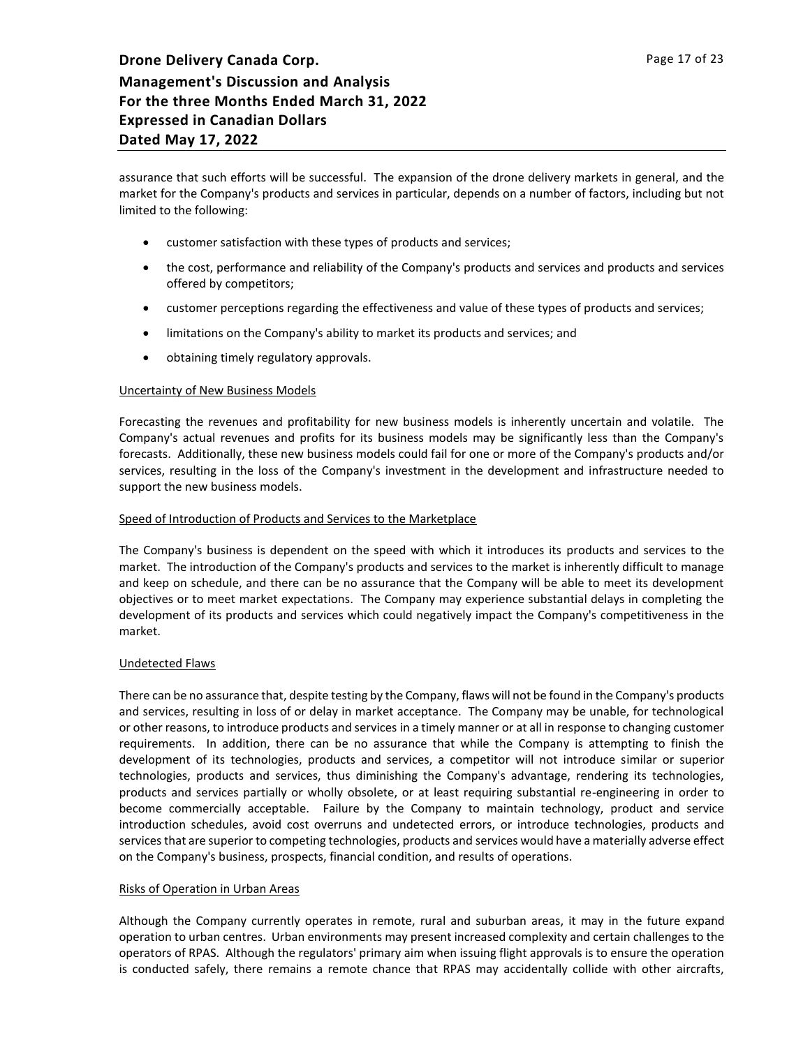assurance that such efforts will be successful. The expansion of the drone delivery markets in general, and the market for the Company's products and services in particular, depends on a number of factors, including but not limited to the following:

- customer satisfaction with these types of products and services;
- the cost, performance and reliability of the Company's products and services and products and services offered by competitors;
- customer perceptions regarding the effectiveness and value of these types of products and services;
- limitations on the Company's ability to market its products and services; and
- obtaining timely regulatory approvals.

#### Uncertainty of New Business Models

Forecasting the revenues and profitability for new business models is inherently uncertain and volatile. The Company's actual revenues and profits for its business models may be significantly less than the Company's forecasts. Additionally, these new business models could fail for one or more of the Company's products and/or services, resulting in the loss of the Company's investment in the development and infrastructure needed to support the new business models.

#### Speed of Introduction of Products and Services to the Marketplace

The Company's business is dependent on the speed with which it introduces its products and services to the market. The introduction of the Company's products and services to the market is inherently difficult to manage and keep on schedule, and there can be no assurance that the Company will be able to meet its development objectives or to meet market expectations. The Company may experience substantial delays in completing the development of its products and services which could negatively impact the Company's competitiveness in the market.

#### Undetected Flaws

There can be no assurance that, despite testing by the Company, flaws will not be found in the Company's products and services, resulting in loss of or delay in market acceptance. The Company may be unable, for technological or other reasons, to introduce products and services in a timely manner or at all in response to changing customer requirements. In addition, there can be no assurance that while the Company is attempting to finish the development of its technologies, products and services, a competitor will not introduce similar or superior technologies, products and services, thus diminishing the Company's advantage, rendering its technologies, products and services partially or wholly obsolete, or at least requiring substantial re-engineering in order to become commercially acceptable. Failure by the Company to maintain technology, product and service introduction schedules, avoid cost overruns and undetected errors, or introduce technologies, products and services that are superior to competing technologies, products and services would have a materially adverse effect on the Company's business, prospects, financial condition, and results of operations.

#### Risks of Operation in Urban Areas

Although the Company currently operates in remote, rural and suburban areas, it may in the future expand operation to urban centres. Urban environments may present increased complexity and certain challenges to the operators of RPAS. Although the regulators' primary aim when issuing flight approvals is to ensure the operation is conducted safely, there remains a remote chance that RPAS may accidentally collide with other aircrafts,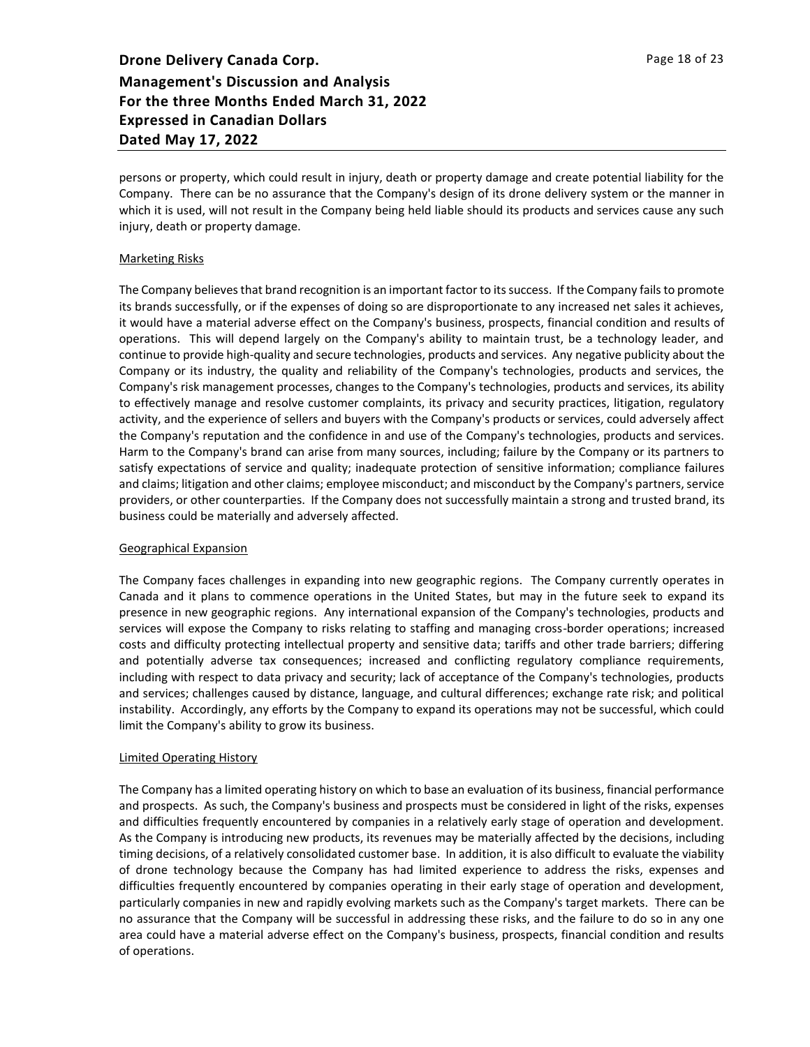persons or property, which could result in injury, death or property damage and create potential liability for the Company. There can be no assurance that the Company's design of its drone delivery system or the manner in which it is used, will not result in the Company being held liable should its products and services cause any such injury, death or property damage.

#### Marketing Risks

The Company believes that brand recognition is an important factor to its success. If the Company fails to promote its brands successfully, or if the expenses of doing so are disproportionate to any increased net sales it achieves, it would have a material adverse effect on the Company's business, prospects, financial condition and results of operations. This will depend largely on the Company's ability to maintain trust, be a technology leader, and continue to provide high-quality and secure technologies, products and services. Any negative publicity about the Company or its industry, the quality and reliability of the Company's technologies, products and services, the Company's risk management processes, changes to the Company's technologies, products and services, its ability to effectively manage and resolve customer complaints, its privacy and security practices, litigation, regulatory activity, and the experience of sellers and buyers with the Company's products or services, could adversely affect the Company's reputation and the confidence in and use of the Company's technologies, products and services. Harm to the Company's brand can arise from many sources, including; failure by the Company or its partners to satisfy expectations of service and quality; inadequate protection of sensitive information; compliance failures and claims; litigation and other claims; employee misconduct; and misconduct by the Company's partners, service providers, or other counterparties. If the Company does not successfully maintain a strong and trusted brand, its business could be materially and adversely affected.

#### Geographical Expansion

The Company faces challenges in expanding into new geographic regions. The Company currently operates in Canada and it plans to commence operations in the United States, but may in the future seek to expand its presence in new geographic regions. Any international expansion of the Company's technologies, products and services will expose the Company to risks relating to staffing and managing cross-border operations; increased costs and difficulty protecting intellectual property and sensitive data; tariffs and other trade barriers; differing and potentially adverse tax consequences; increased and conflicting regulatory compliance requirements, including with respect to data privacy and security; lack of acceptance of the Company's technologies, products and services; challenges caused by distance, language, and cultural differences; exchange rate risk; and political instability. Accordingly, any efforts by the Company to expand its operations may not be successful, which could limit the Company's ability to grow its business.

## Limited Operating History

The Company has a limited operating history on which to base an evaluation of its business, financial performance and prospects. As such, the Company's business and prospects must be considered in light of the risks, expenses and difficulties frequently encountered by companies in a relatively early stage of operation and development. As the Company is introducing new products, its revenues may be materially affected by the decisions, including timing decisions, of a relatively consolidated customer base. In addition, it is also difficult to evaluate the viability of drone technology because the Company has had limited experience to address the risks, expenses and difficulties frequently encountered by companies operating in their early stage of operation and development, particularly companies in new and rapidly evolving markets such as the Company's target markets. There can be no assurance that the Company will be successful in addressing these risks, and the failure to do so in any one area could have a material adverse effect on the Company's business, prospects, financial condition and results of operations.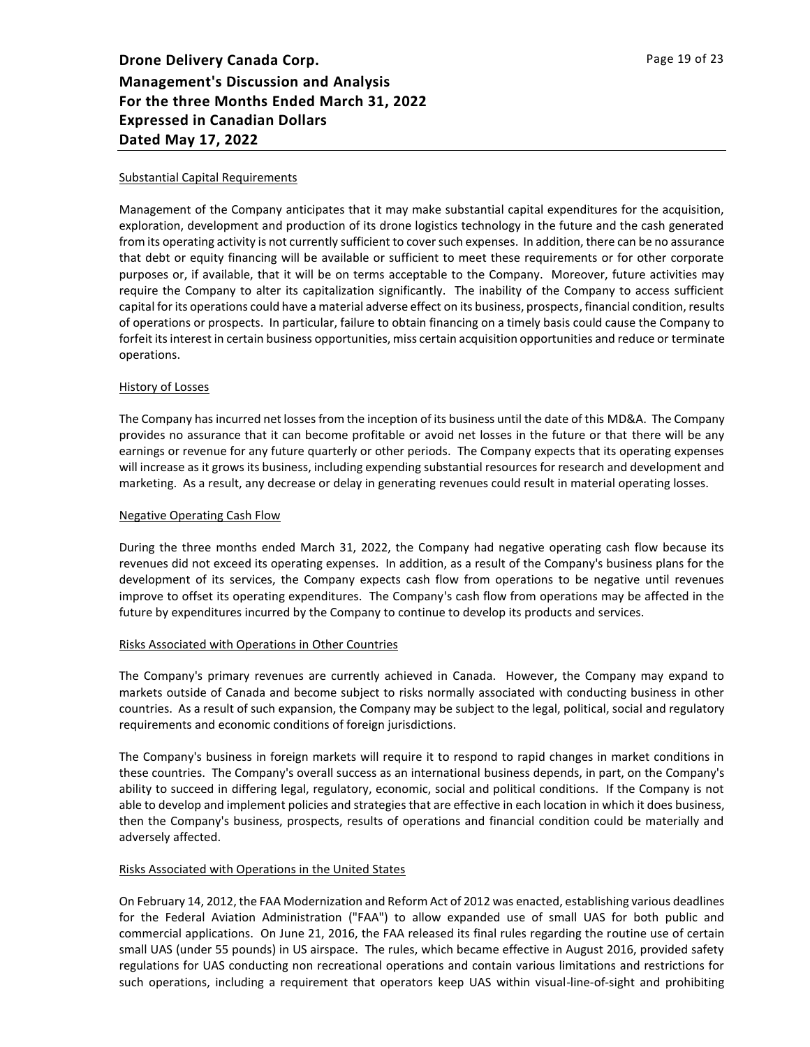#### Substantial Capital Requirements

Management of the Company anticipates that it may make substantial capital expenditures for the acquisition, exploration, development and production of its drone logistics technology in the future and the cash generated from its operating activity is not currently sufficient to cover such expenses. In addition, there can be no assurance that debt or equity financing will be available or sufficient to meet these requirements or for other corporate purposes or, if available, that it will be on terms acceptable to the Company. Moreover, future activities may require the Company to alter its capitalization significantly. The inability of the Company to access sufficient capital for its operations could have a material adverse effect on its business, prospects, financial condition, results of operations or prospects. In particular, failure to obtain financing on a timely basis could cause the Company to forfeit its interest in certain business opportunities, miss certain acquisition opportunities and reduce or terminate operations.

#### History of Losses

The Company has incurred net losses from the inception of its business until the date of this MD&A. The Company provides no assurance that it can become profitable or avoid net losses in the future or that there will be any earnings or revenue for any future quarterly or other periods. The Company expects that its operating expenses will increase as it grows its business, including expending substantial resources for research and development and marketing. As a result, any decrease or delay in generating revenues could result in material operating losses.

#### Negative Operating Cash Flow

During the three months ended March 31, 2022, the Company had negative operating cash flow because its revenues did not exceed its operating expenses. In addition, as a result of the Company's business plans for the development of its services, the Company expects cash flow from operations to be negative until revenues improve to offset its operating expenditures. The Company's cash flow from operations may be affected in the future by expenditures incurred by the Company to continue to develop its products and services.

#### Risks Associated with Operations in Other Countries

The Company's primary revenues are currently achieved in Canada. However, the Company may expand to markets outside of Canada and become subject to risks normally associated with conducting business in other countries. As a result of such expansion, the Company may be subject to the legal, political, social and regulatory requirements and economic conditions of foreign jurisdictions.

The Company's business in foreign markets will require it to respond to rapid changes in market conditions in these countries. The Company's overall success as an international business depends, in part, on the Company's ability to succeed in differing legal, regulatory, economic, social and political conditions. If the Company is not able to develop and implement policies and strategies that are effective in each location in which it does business, then the Company's business, prospects, results of operations and financial condition could be materially and adversely affected.

## Risks Associated with Operations in the United States

On February 14, 2012, the FAA Modernization and Reform Act of 2012 was enacted, establishing various deadlines for the Federal Aviation Administration ("FAA") to allow expanded use of small UAS for both public and commercial applications. On June 21, 2016, the FAA released its final rules regarding the routine use of certain small UAS (under 55 pounds) in US airspace. The rules, which became effective in August 2016, provided safety regulations for UAS conducting non recreational operations and contain various limitations and restrictions for such operations, including a requirement that operators keep UAS within visual-line-of-sight and prohibiting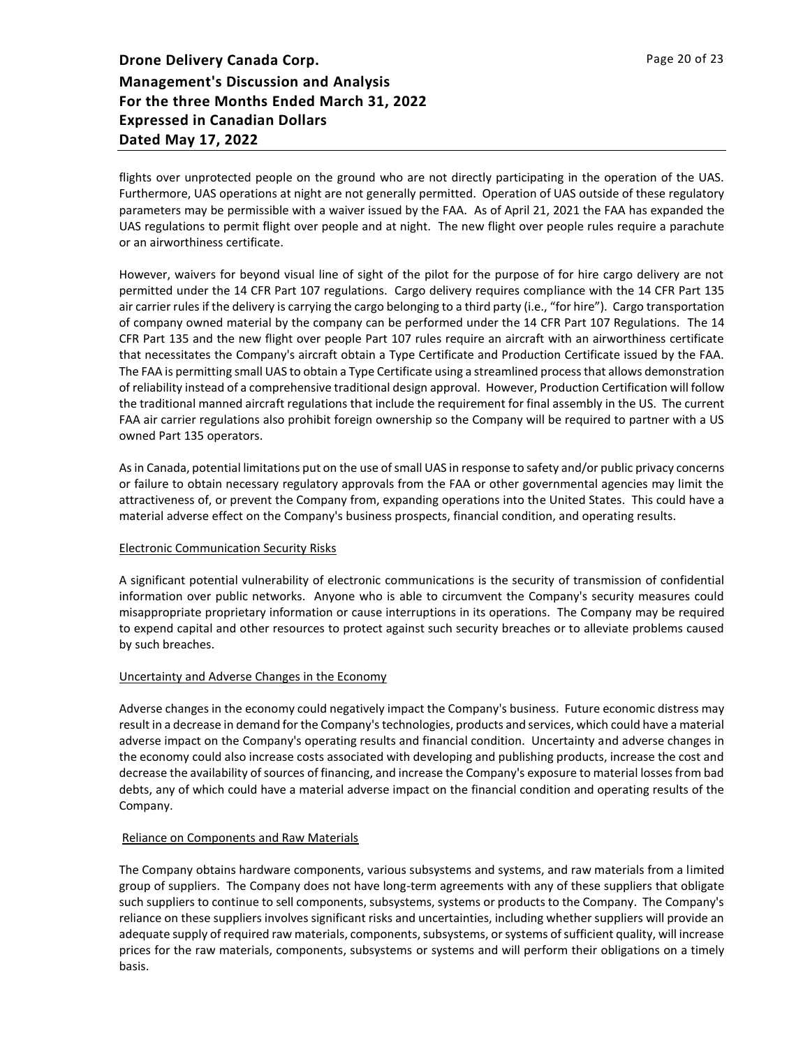flights over unprotected people on the ground who are not directly participating in the operation of the UAS. Furthermore, UAS operations at night are not generally permitted. Operation of UAS outside of these regulatory parameters may be permissible with a waiver issued by the FAA. As of April 21, 2021 the FAA has expanded the UAS regulations to permit flight over people and at night. The new flight over people rules require a parachute or an airworthiness certificate.

However, waivers for beyond visual line of sight of the pilot for the purpose of for hire cargo delivery are not permitted under the 14 CFR Part 107 regulations. Cargo delivery requires compliance with the 14 CFR Part 135 air carrier rules if the delivery is carrying the cargo belonging to a third party (i.e., "for hire"). Cargo transportation of company owned material by the company can be performed under the 14 CFR Part 107 Regulations. The 14 CFR Part 135 and the new flight over people Part 107 rules require an aircraft with an airworthiness certificate that necessitates the Company's aircraft obtain a Type Certificate and Production Certificate issued by the FAA. The FAA is permitting small UAS to obtain a Type Certificate using a streamlined process that allows demonstration of reliability instead of a comprehensive traditional design approval. However, Production Certification will follow the traditional manned aircraft regulations that include the requirement for final assembly in the US. The current FAA air carrier regulations also prohibit foreign ownership so the Company will be required to partner with a US owned Part 135 operators.

As in Canada, potential limitations put on the use of small UAS in response to safety and/or public privacy concerns or failure to obtain necessary regulatory approvals from the FAA or other governmental agencies may limit the attractiveness of, or prevent the Company from, expanding operations into the United States. This could have a material adverse effect on the Company's business prospects, financial condition, and operating results.

## Electronic Communication Security Risks

A significant potential vulnerability of electronic communications is the security of transmission of confidential information over public networks. Anyone who is able to circumvent the Company's security measures could misappropriate proprietary information or cause interruptions in its operations. The Company may be required to expend capital and other resources to protect against such security breaches or to alleviate problems caused by such breaches.

## Uncertainty and Adverse Changes in the Economy

Adverse changes in the economy could negatively impact the Company's business. Future economic distress may result in a decrease in demand for the Company's technologies, products and services, which could have a material adverse impact on the Company's operating results and financial condition. Uncertainty and adverse changes in the economy could also increase costs associated with developing and publishing products, increase the cost and decrease the availability of sources of financing, and increase the Company's exposure to material losses from bad debts, any of which could have a material adverse impact on the financial condition and operating results of the Company.

## Reliance on Components and Raw Materials

The Company obtains hardware components, various subsystems and systems, and raw materials from a limited group of suppliers. The Company does not have long-term agreements with any of these suppliers that obligate such suppliers to continue to sell components, subsystems, systems or products to the Company. The Company's reliance on these suppliers involves significant risks and uncertainties, including whether suppliers will provide an adequate supply of required raw materials, components, subsystems, or systems of sufficient quality, will increase prices for the raw materials, components, subsystems or systems and will perform their obligations on a timely basis.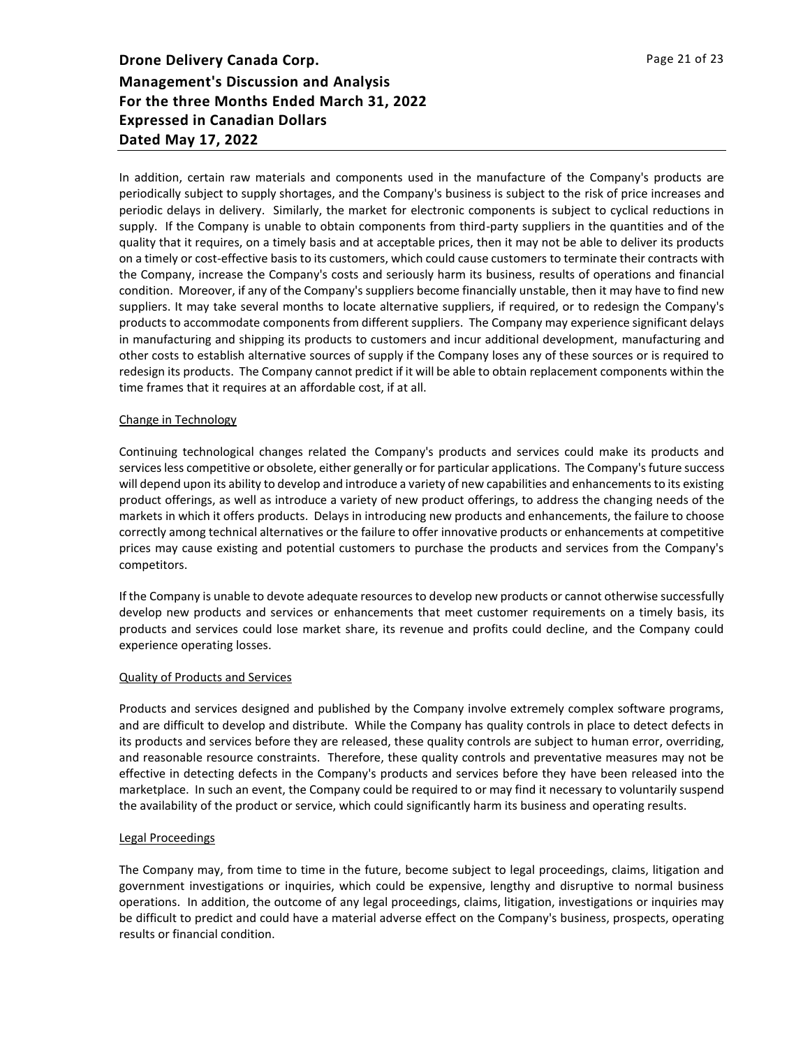In addition, certain raw materials and components used in the manufacture of the Company's products are periodically subject to supply shortages, and the Company's business is subject to the risk of price increases and periodic delays in delivery. Similarly, the market for electronic components is subject to cyclical reductions in supply. If the Company is unable to obtain components from third-party suppliers in the quantities and of the quality that it requires, on a timely basis and at acceptable prices, then it may not be able to deliver its products on a timely or cost-effective basis to its customers, which could cause customers to terminate their contracts with the Company, increase the Company's costs and seriously harm its business, results of operations and financial condition. Moreover, if any of the Company's suppliers become financially unstable, then it may have to find new suppliers. It may take several months to locate alternative suppliers, if required, or to redesign the Company's products to accommodate components from different suppliers. The Company may experience significant delays in manufacturing and shipping its products to customers and incur additional development, manufacturing and other costs to establish alternative sources of supply if the Company loses any of these sources or is required to redesign its products. The Company cannot predict if it will be able to obtain replacement components within the time frames that it requires at an affordable cost, if at all.

## Change in Technology

Continuing technological changes related the Company's products and services could make its products and services less competitive or obsolete, either generally or for particular applications. The Company's future success will depend upon its ability to develop and introduce a variety of new capabilities and enhancements to its existing product offerings, as well as introduce a variety of new product offerings, to address the changing needs of the markets in which it offers products. Delays in introducing new products and enhancements, the failure to choose correctly among technical alternatives or the failure to offer innovative products or enhancements at competitive prices may cause existing and potential customers to purchase the products and services from the Company's competitors.

If the Company is unable to devote adequate resources to develop new products or cannot otherwise successfully develop new products and services or enhancements that meet customer requirements on a timely basis, its products and services could lose market share, its revenue and profits could decline, and the Company could experience operating losses.

#### Quality of Products and Services

Products and services designed and published by the Company involve extremely complex software programs, and are difficult to develop and distribute. While the Company has quality controls in place to detect defects in its products and services before they are released, these quality controls are subject to human error, overriding, and reasonable resource constraints. Therefore, these quality controls and preventative measures may not be effective in detecting defects in the Company's products and services before they have been released into the marketplace. In such an event, the Company could be required to or may find it necessary to voluntarily suspend the availability of the product or service, which could significantly harm its business and operating results.

#### Legal Proceedings

The Company may, from time to time in the future, become subject to legal proceedings, claims, litigation and government investigations or inquiries, which could be expensive, lengthy and disruptive to normal business operations. In addition, the outcome of any legal proceedings, claims, litigation, investigations or inquiries may be difficult to predict and could have a material adverse effect on the Company's business, prospects, operating results or financial condition.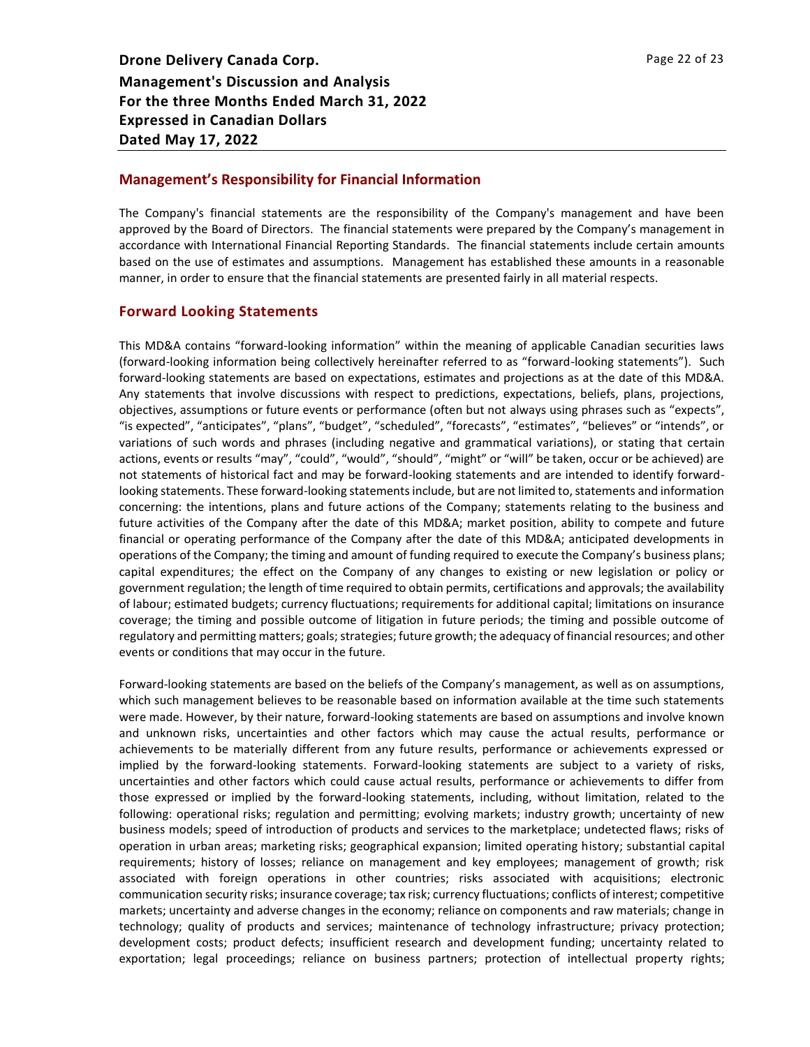## **Management's Responsibility for Financial Information**

The Company's financial statements are the responsibility of the Company's management and have been approved by the Board of Directors. The financial statements were prepared by the Company's management in accordance with International Financial Reporting Standards. The financial statements include certain amounts based on the use of estimates and assumptions. Management has established these amounts in a reasonable manner, in order to ensure that the financial statements are presented fairly in all material respects.

## **Forward Looking Statements**

This MD&A contains "forward-looking information" within the meaning of applicable Canadian securities laws (forward-looking information being collectively hereinafter referred to as "forward-looking statements"). Such forward-looking statements are based on expectations, estimates and projections as at the date of this MD&A. Any statements that involve discussions with respect to predictions, expectations, beliefs, plans, projections, objectives, assumptions or future events or performance (often but not always using phrases such as "expects", "is expected", "anticipates", "plans", "budget", "scheduled", "forecasts", "estimates", "believes" or "intends", or variations of such words and phrases (including negative and grammatical variations), or stating that certain actions, events or results "may", "could", "would", "should", "might" or "will" be taken, occur or be achieved) are not statements of historical fact and may be forward-looking statements and are intended to identify forwardlooking statements. These forward-looking statements include, but are not limited to, statements and information concerning: the intentions, plans and future actions of the Company; statements relating to the business and future activities of the Company after the date of this MD&A; market position, ability to compete and future financial or operating performance of the Company after the date of this MD&A; anticipated developments in operations of the Company; the timing and amount of funding required to execute the Company's business plans; capital expenditures; the effect on the Company of any changes to existing or new legislation or policy or government regulation; the length of time required to obtain permits, certifications and approvals; the availability of labour; estimated budgets; currency fluctuations; requirements for additional capital; limitations on insurance coverage; the timing and possible outcome of litigation in future periods; the timing and possible outcome of regulatory and permitting matters; goals; strategies; future growth; the adequacy of financial resources; and other events or conditions that may occur in the future.

Forward-looking statements are based on the beliefs of the Company's management, as well as on assumptions, which such management believes to be reasonable based on information available at the time such statements were made. However, by their nature, forward-looking statements are based on assumptions and involve known and unknown risks, uncertainties and other factors which may cause the actual results, performance or achievements to be materially different from any future results, performance or achievements expressed or implied by the forward-looking statements. Forward-looking statements are subject to a variety of risks, uncertainties and other factors which could cause actual results, performance or achievements to differ from those expressed or implied by the forward-looking statements, including, without limitation, related to the following: operational risks; regulation and permitting; evolving markets; industry growth; uncertainty of new business models; speed of introduction of products and services to the marketplace; undetected flaws; risks of operation in urban areas; marketing risks; geographical expansion; limited operating history; substantial capital requirements; history of losses; reliance on management and key employees; management of growth; risk associated with foreign operations in other countries; risks associated with acquisitions; electronic communication security risks; insurance coverage; tax risk; currency fluctuations; conflicts of interest; competitive markets; uncertainty and adverse changes in the economy; reliance on components and raw materials; change in technology; quality of products and services; maintenance of technology infrastructure; privacy protection; development costs; product defects; insufficient research and development funding; uncertainty related to exportation; legal proceedings; reliance on business partners; protection of intellectual property rights;